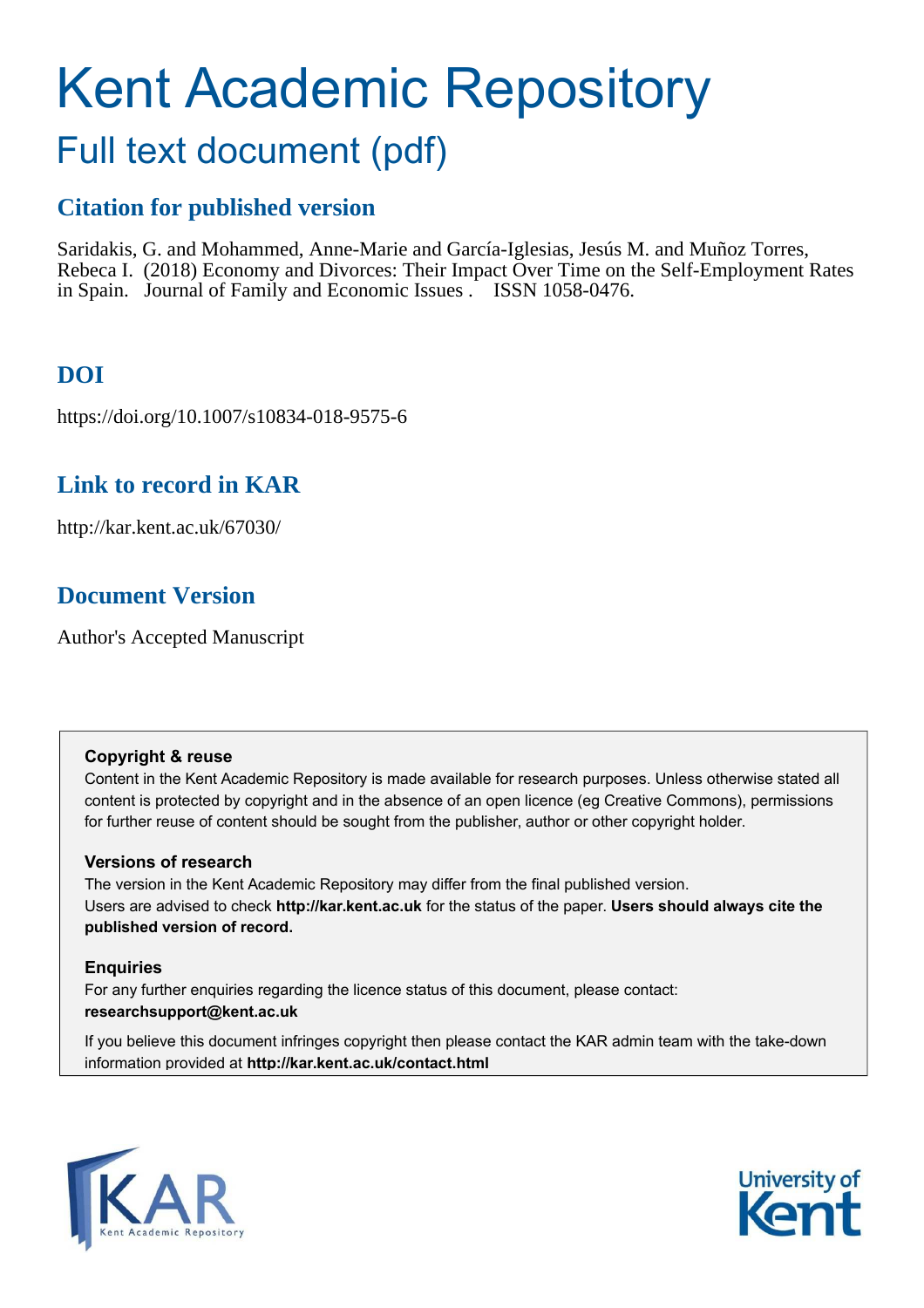# Kent Academic Repository

# Full text document (pdf)

## **Citation for published version**

Saridakis, G. and Mohammed, Anne-Marie and García-Iglesias, Jesús M. and Muñoz Torres, Rebeca I. (2018) Economy and Divorces: Their Impact Over Time on the Self-Employment Rates in Spain. Journal of Family and Economic Issues . ISSN 1058-0476.

# **DOI**

https://doi.org/10.1007/s10834-018-9575-6

# **Link to record in KAR**

http://kar.kent.ac.uk/67030/

# **Document Version**

Author's Accepted Manuscript

#### **Copyright & reuse**

Content in the Kent Academic Repository is made available for research purposes. Unless otherwise stated all content is protected by copyright and in the absence of an open licence (eg Creative Commons), permissions for further reuse of content should be sought from the publisher, author or other copyright holder.

#### **Versions of research**

The version in the Kent Academic Repository may differ from the final published version. Users are advised to check **http://kar.kent.ac.uk** for the status of the paper. **Users should always cite the published version of record.**

#### **Enquiries**

For any further enquiries regarding the licence status of this document, please contact: **researchsupport@kent.ac.uk**

If you believe this document infringes copyright then please contact the KAR admin team with the take-down information provided at **http://kar.kent.ac.uk/contact.html**



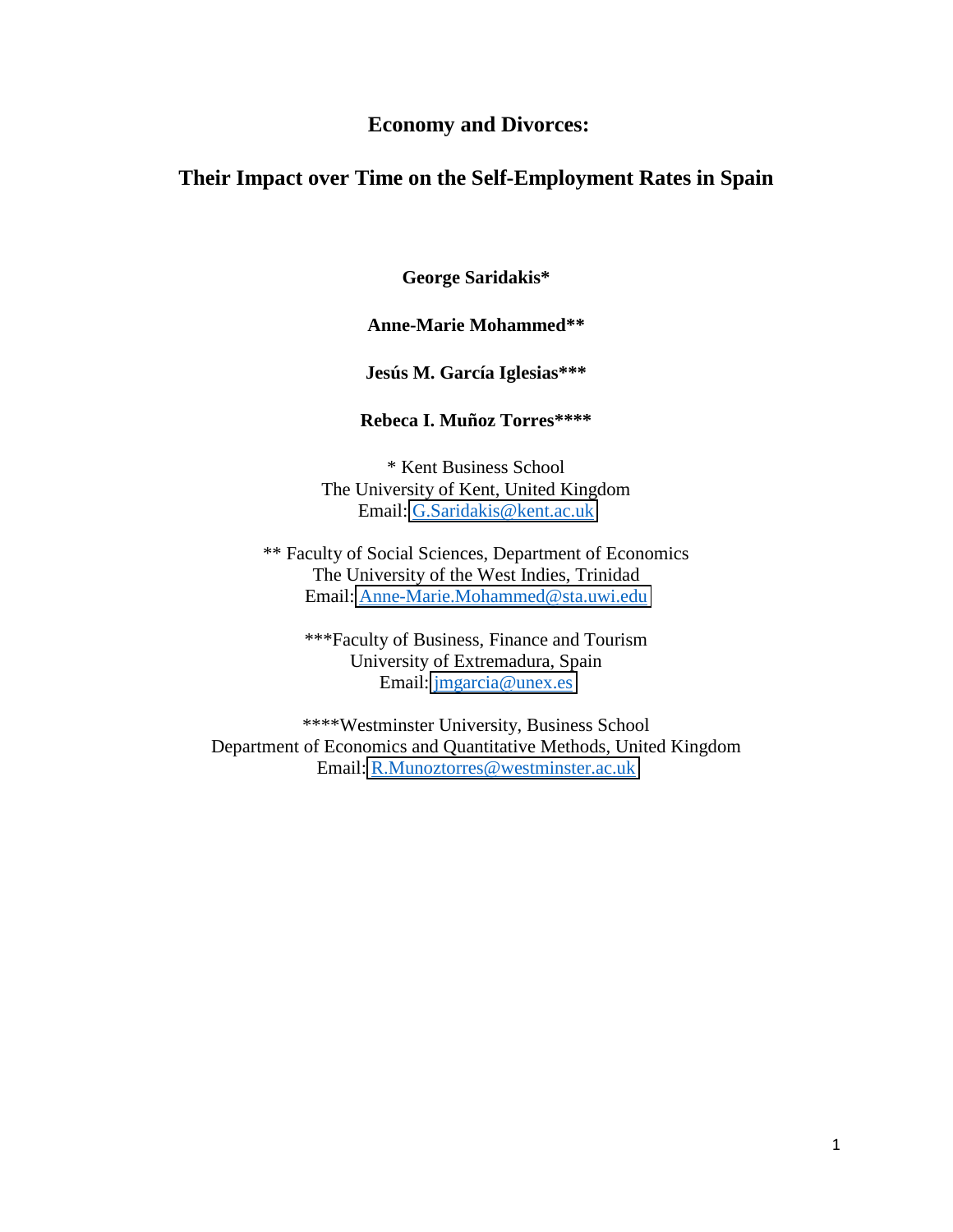#### **Economy and Divorces:**

#### **Their Impact over Time on the Self-Employment Rates in Spain**

**George Saridakis\*** 

#### **Anne-Marie Mohammed\*\***

#### **Jesús M. García Iglesias\*\*\***

#### **Rebeca I. Muñoz Torres\*\*\*\***

\* Kent Business School The University of Kent, United Kingdom Email: [G.Saridakis@kent.ac.uk](mailto:G.Saridakis@kingston.ac.uk)

\*\* Faculty of Social Sciences, Department of Economics The University of the West Indies, Trinidad Email: [Anne-Marie.Mohammed@sta.uwi.edu](mailto:Anne-Marie.Mohammed@sta.uwi.edu)

\*\*\*Faculty of Business, Finance and Tourism University of Extremadura, Spain Email: [jmgarcia@unex.es](mailto:jmgarcia@unex.es)

\*\*\*\*Westminster University, Business School Department of Economics and Quantitative Methods, United Kingdom Email: [R.Munoztorres@westminster.ac.uk](mailto:R.Munoztorres@westminster.ac.uk)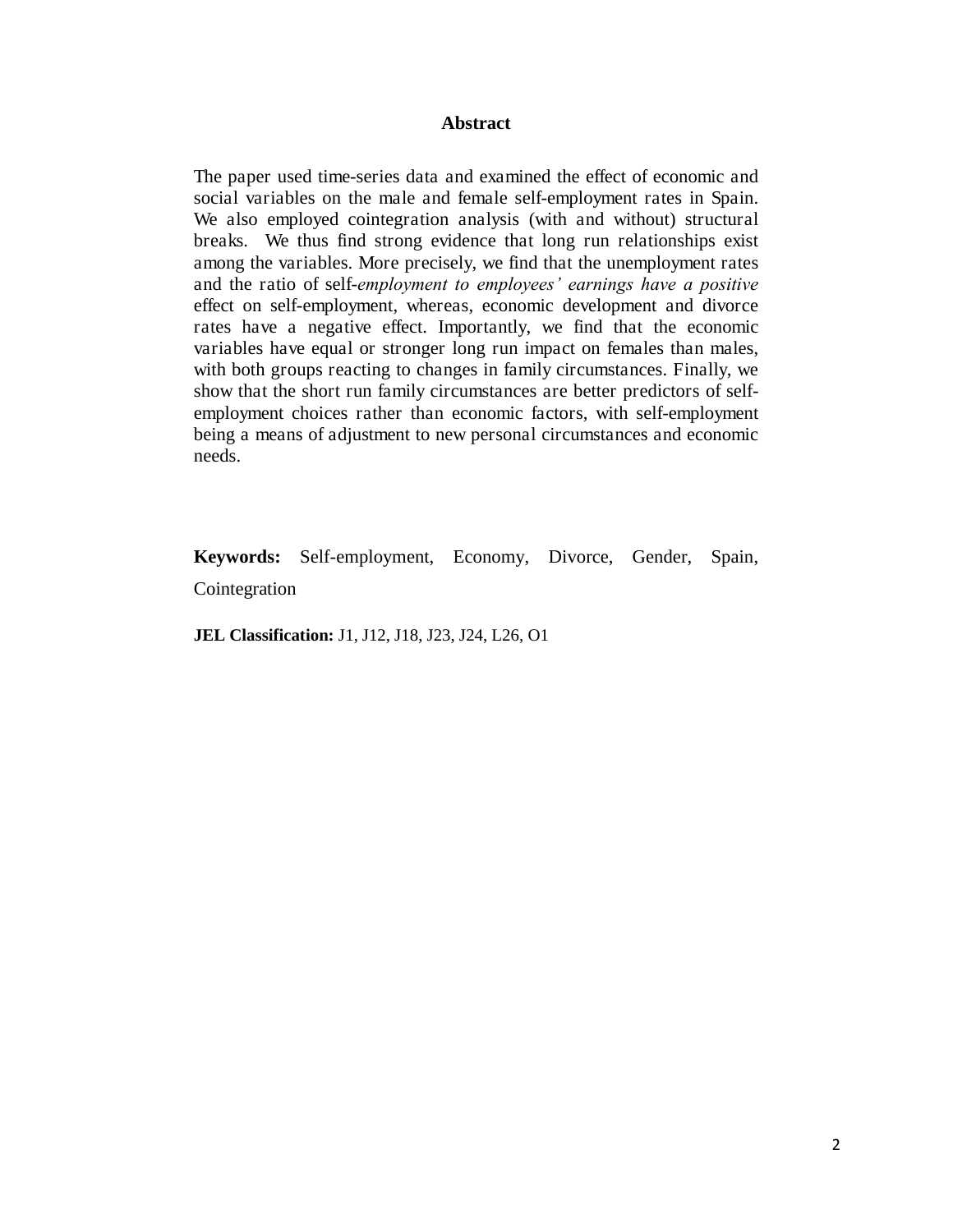#### **Abstract**

The paper used time-series data and examined the effect of economic and social variables on the male and female self-employment rates in Spain. We also employed cointegration analysis (with and without) structural breaks. We thus find strong evidence that long run relationships exist among the variables. More precisely, we find that the unemployment rates and the ratio of self-*employment to employees' earnings have a positive*  effect on self-employment, whereas, economic development and divorce rates have a negative effect. Importantly, we find that the economic variables have equal or stronger long run impact on females than males, with both groups reacting to changes in family circumstances. Finally, we show that the short run family circumstances are better predictors of selfemployment choices rather than economic factors, with self-employment being a means of adjustment to new personal circumstances and economic needs.

**Keywords:** Self-employment, Economy, Divorce, Gender, Spain, Cointegration

**JEL Classification:** J1, J12, J18, J23, J24, L26, O1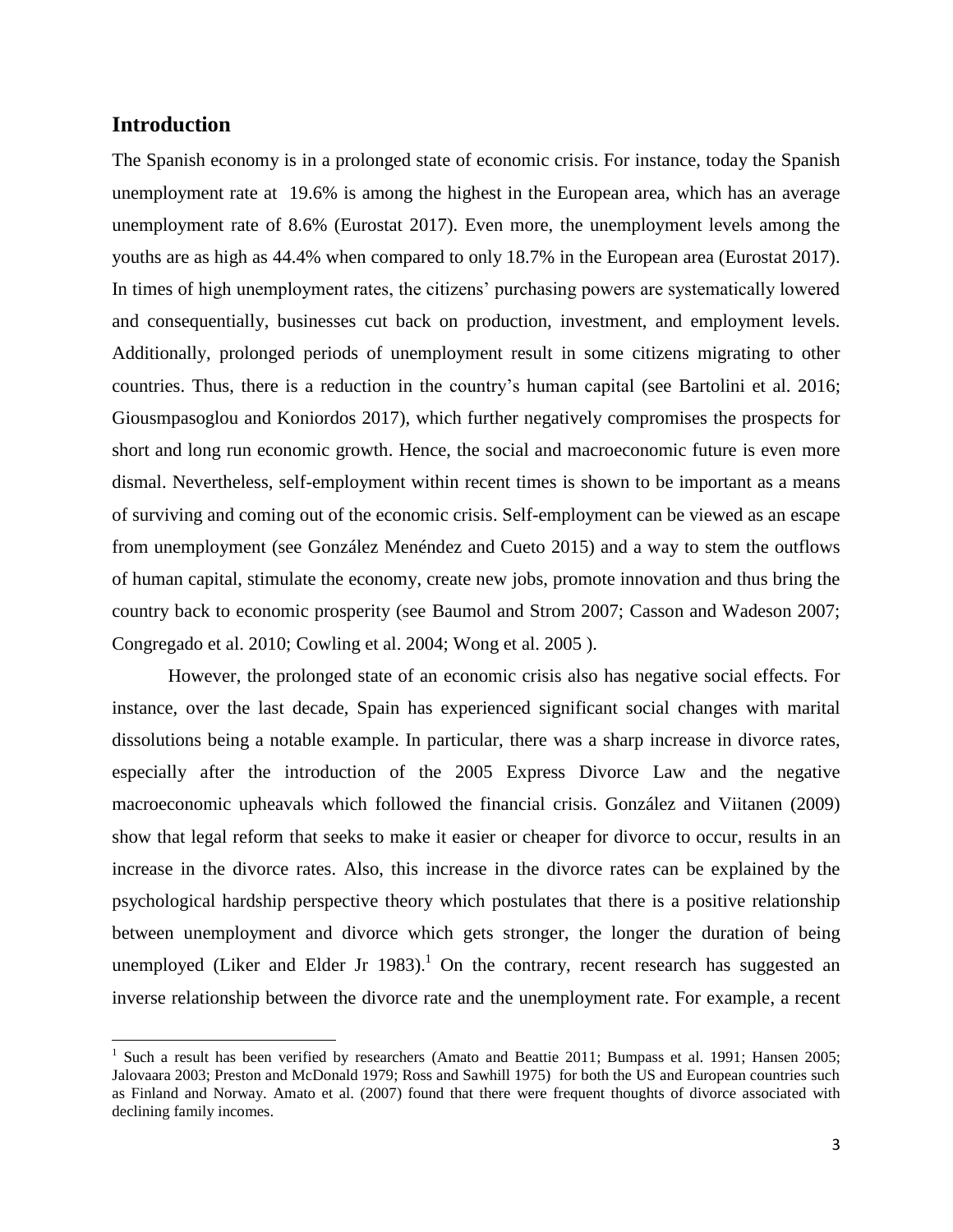#### **Introduction**

l

The Spanish economy is in a prolonged state of economic crisis. For instance, today the Spanish unemployment rate at 19.6% is among the highest in the European area, which has an average unemployment rate of 8.6% (Eurostat 2017). Even more, the unemployment levels among the youths are as high as 44.4% when compared to only 18.7% in the European area (Eurostat 2017). In times of high unemployment rates, the citizens' purchasing powers are systematically lowered and consequentially, businesses cut back on production, investment, and employment levels. Additionally, prolonged periods of unemployment result in some citizens migrating to other countries. Thus, there is a reduction in the country's human capital (see Bartolini et al. 2016; Giousmpasoglou and Koniordos 2017), which further negatively compromises the prospects for short and long run economic growth. Hence, the social and macroeconomic future is even more dismal. Nevertheless, self-employment within recent times is shown to be important as a means of surviving and coming out of the economic crisis. Self-employment can be viewed as an escape from unemployment (see González Menéndez and Cueto 2015) and a way to stem the outflows of human capital, stimulate the economy, create new jobs, promote innovation and thus bring the country back to economic prosperity (see Baumol and Strom 2007; Casson and Wadeson 2007; Congregado et al. 2010; Cowling et al. 2004; Wong et al. 2005 ).

However, the prolonged state of an economic crisis also has negative social effects. For instance, over the last decade, Spain has experienced significant social changes with marital dissolutions being a notable example. In particular, there was a sharp increase in divorce rates, especially after the introduction of the 2005 Express Divorce Law and the negative macroeconomic upheavals which followed the financial crisis. González and Viitanen (2009) show that legal reform that seeks to make it easier or cheaper for divorce to occur, results in an increase in the divorce rates. Also, this increase in the divorce rates can be explained by the psychological hardship perspective theory which postulates that there is a positive relationship between unemployment and divorce which gets stronger, the longer the duration of being unemployed (Liker and Elder Jr 1983).<sup>1</sup> On the contrary, recent research has suggested an inverse relationship between the divorce rate and the unemployment rate. For example, a recent

<sup>&</sup>lt;sup>1</sup> Such a result has been verified by researchers (Amato and Beattie 2011; Bumpass et al. 1991; Hansen 2005; Jalovaara 2003; Preston and McDonald 1979; Ross and Sawhill 1975) for both the US and European countries such as Finland and Norway. Amato et al. (2007) found that there were frequent thoughts of divorce associated with declining family incomes.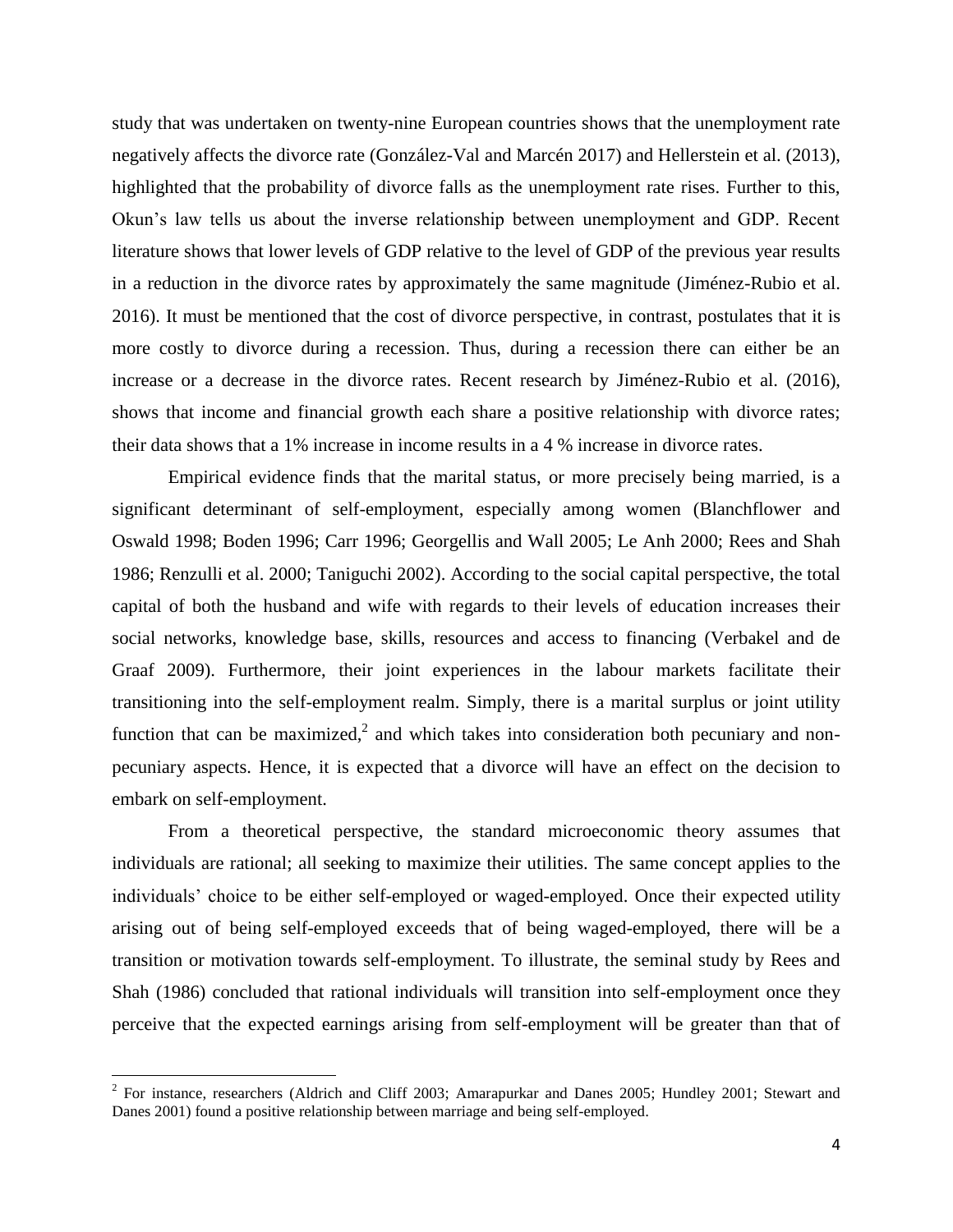study that was undertaken on twenty-nine European countries shows that the unemployment rate negatively affects the divorce rate (González-Val and Marcén 2017) and Hellerstein et al. (2013), highlighted that the probability of divorce falls as the unemployment rate rises. Further to this, Okun's law tells us about the inverse relationship between unemployment and GDP. Recent literature shows that lower levels of GDP relative to the level of GDP of the previous year results in a reduction in the divorce rates by approximately the same magnitude (Jiménez-Rubio et al. 2016). It must be mentioned that the cost of divorce perspective, in contrast, postulates that it is more costly to divorce during a recession. Thus, during a recession there can either be an increase or a decrease in the divorce rates. Recent research by Jiménez-Rubio et al. (2016), shows that income and financial growth each share a positive relationship with divorce rates; their data shows that a 1% increase in income results in a 4 % increase in divorce rates.

Empirical evidence finds that the marital status, or more precisely being married, is a significant determinant of self-employment, especially among women (Blanchflower and Oswald 1998; Boden 1996; Carr 1996; Georgellis and Wall 2005; Le Anh 2000; Rees and Shah 1986; Renzulli et al. 2000; Taniguchi 2002). According to the social capital perspective, the total capital of both the husband and wife with regards to their levels of education increases their social networks, knowledge base, skills, resources and access to financing (Verbakel and de Graaf 2009). Furthermore, their joint experiences in the labour markets facilitate their transitioning into the self-employment realm. Simply, there is a marital surplus or joint utility function that can be maximized,<sup>2</sup> and which takes into consideration both pecuniary and nonpecuniary aspects. Hence, it is expected that a divorce will have an effect on the decision to embark on self-employment.

From a theoretical perspective, the standard microeconomic theory assumes that individuals are rational; all seeking to maximize their utilities. The same concept applies to the individuals' choice to be either self-employed or waged-employed. Once their expected utility arising out of being self-employed exceeds that of being waged-employed, there will be a transition or motivation towards self-employment. To illustrate, the seminal study by Rees and Shah (1986) concluded that rational individuals will transition into self-employment once they perceive that the expected earnings arising from self-employment will be greater than that of

l

 $2^{2}$  For instance, researchers (Aldrich and Cliff 2003; Amarapurkar and Danes 2005; Hundley 2001; Stewart and Danes 2001) found a positive relationship between marriage and being self-employed.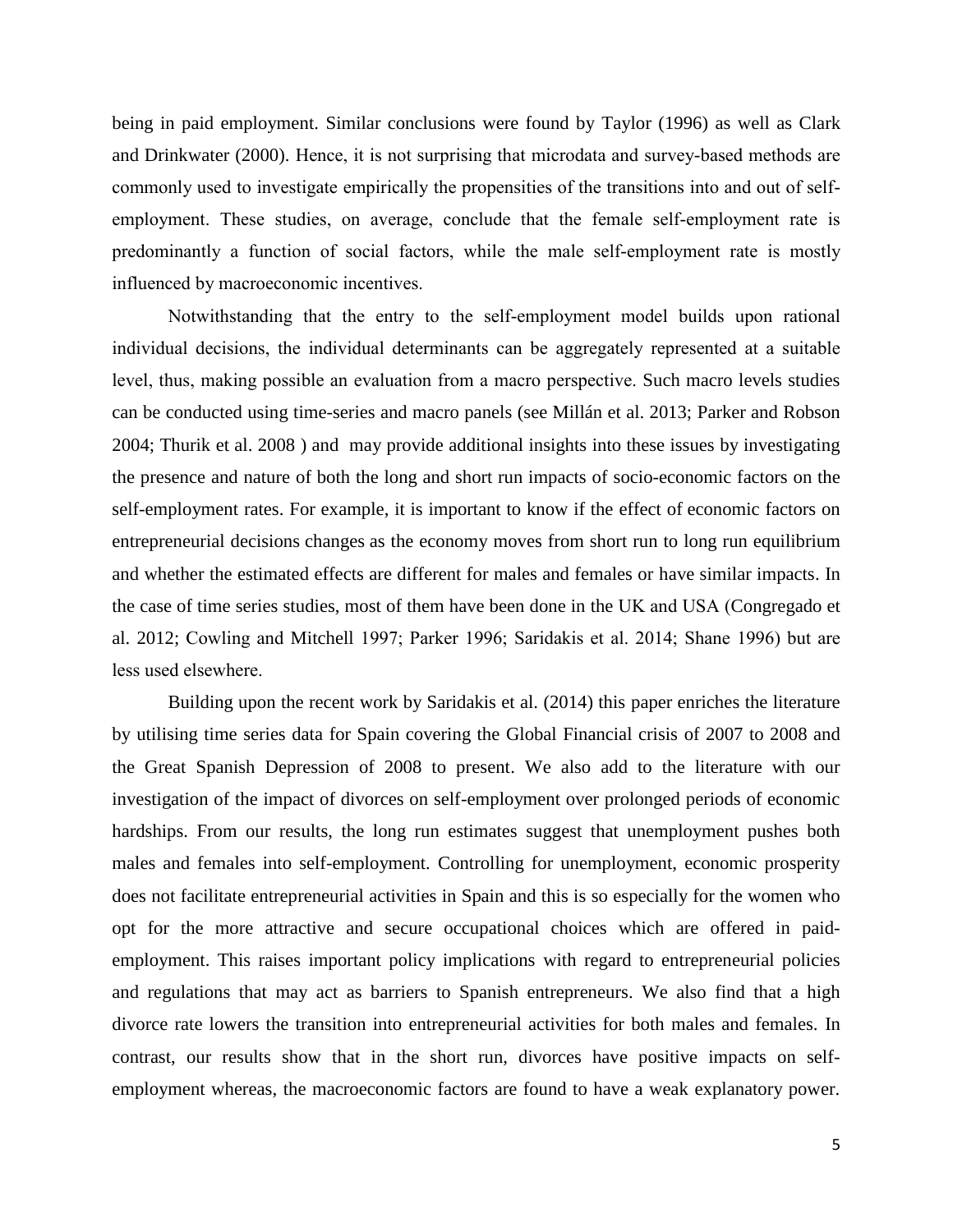being in paid employment. Similar conclusions were found by Taylor (1996) as well as Clark and Drinkwater (2000). Hence, it is not surprising that microdata and survey-based methods are commonly used to investigate empirically the propensities of the transitions into and out of selfemployment. These studies, on average, conclude that the female self-employment rate is predominantly a function of social factors, while the male self-employment rate is mostly influenced by macroeconomic incentives.

Notwithstanding that the entry to the self-employment model builds upon rational individual decisions, the individual determinants can be aggregately represented at a suitable level, thus, making possible an evaluation from a macro perspective. Such macro levels studies can be conducted using time-series and macro panels (see Millán et al. 2013; Parker and Robson 2004; Thurik et al. 2008 ) and may provide additional insights into these issues by investigating the presence and nature of both the long and short run impacts of socio-economic factors on the self-employment rates. For example, it is important to know if the effect of economic factors on entrepreneurial decisions changes as the economy moves from short run to long run equilibrium and whether the estimated effects are different for males and females or have similar impacts. In the case of time series studies, most of them have been done in the UK and USA (Congregado et al. 2012; Cowling and Mitchell 1997; Parker 1996; Saridakis et al. 2014; Shane 1996) but are less used elsewhere.

Building upon the recent work by Saridakis et al. (2014) this paper enriches the literature by utilising time series data for Spain covering the Global Financial crisis of 2007 to 2008 and the Great Spanish Depression of 2008 to present. We also add to the literature with our investigation of the impact of divorces on self-employment over prolonged periods of economic hardships. From our results, the long run estimates suggest that unemployment pushes both males and females into self-employment. Controlling for unemployment, economic prosperity does not facilitate entrepreneurial activities in Spain and this is so especially for the women who opt for the more attractive and secure occupational choices which are offered in paidemployment. This raises important policy implications with regard to entrepreneurial policies and regulations that may act as barriers to Spanish entrepreneurs. We also find that a high divorce rate lowers the transition into entrepreneurial activities for both males and females. In contrast, our results show that in the short run, divorces have positive impacts on selfemployment whereas, the macroeconomic factors are found to have a weak explanatory power.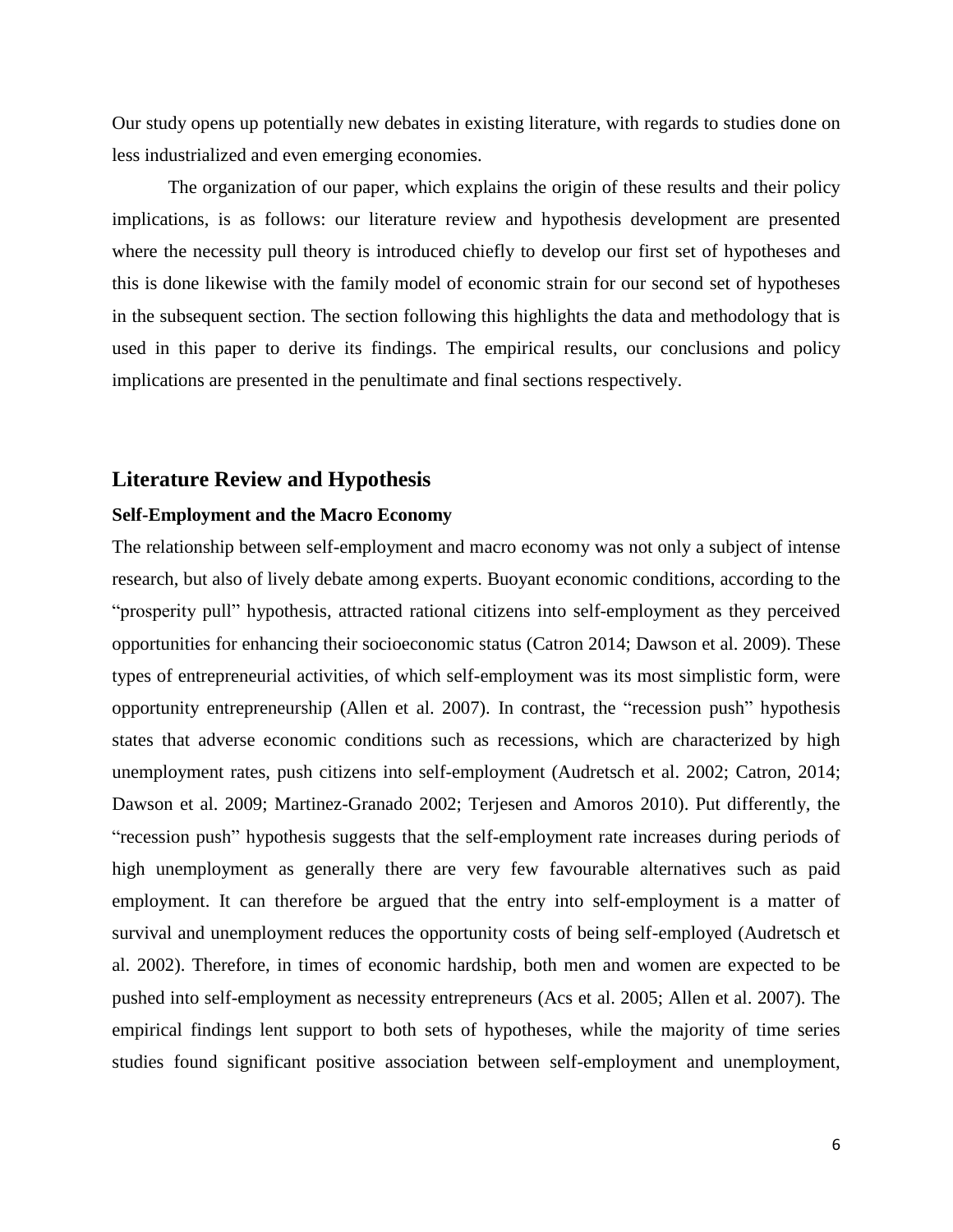Our study opens up potentially new debates in existing literature, with regards to studies done on less industrialized and even emerging economies.

The organization of our paper, which explains the origin of these results and their policy implications, is as follows: our literature review and hypothesis development are presented where the necessity pull theory is introduced chiefly to develop our first set of hypotheses and this is done likewise with the family model of economic strain for our second set of hypotheses in the subsequent section. The section following this highlights the data and methodology that is used in this paper to derive its findings. The empirical results, our conclusions and policy implications are presented in the penultimate and final sections respectively.

#### **Literature Review and Hypothesis**

#### **Self-Employment and the Macro Economy**

The relationship between self-employment and macro economy was not only a subject of intense research, but also of lively debate among experts. Buoyant economic conditions, according to the "prosperity pull" hypothesis, attracted rational citizens into self-employment as they perceived opportunities for enhancing their socioeconomic status (Catron 2014; Dawson et al. 2009). These types of entrepreneurial activities, of which self-employment was its most simplistic form, were opportunity entrepreneurship (Allen et al. 2007). In contrast, the "recession push" hypothesis states that adverse economic conditions such as recessions, which are characterized by high unemployment rates, push citizens into self-employment (Audretsch et al. 2002; Catron, 2014; Dawson et al. 2009; Martinez-Granado 2002; Terjesen and Amoros 2010). Put differently, the "recession push" hypothesis suggests that the self-employment rate increases during periods of high unemployment as generally there are very few favourable alternatives such as paid employment. It can therefore be argued that the entry into self-employment is a matter of survival and unemployment reduces the opportunity costs of being self-employed (Audretsch et al. 2002). Therefore, in times of economic hardship, both men and women are expected to be pushed into self-employment as necessity entrepreneurs (Acs et al. 2005; Allen et al. 2007). The empirical findings lent support to both sets of hypotheses, while the majority of time series studies found significant positive association between self-employment and unemployment,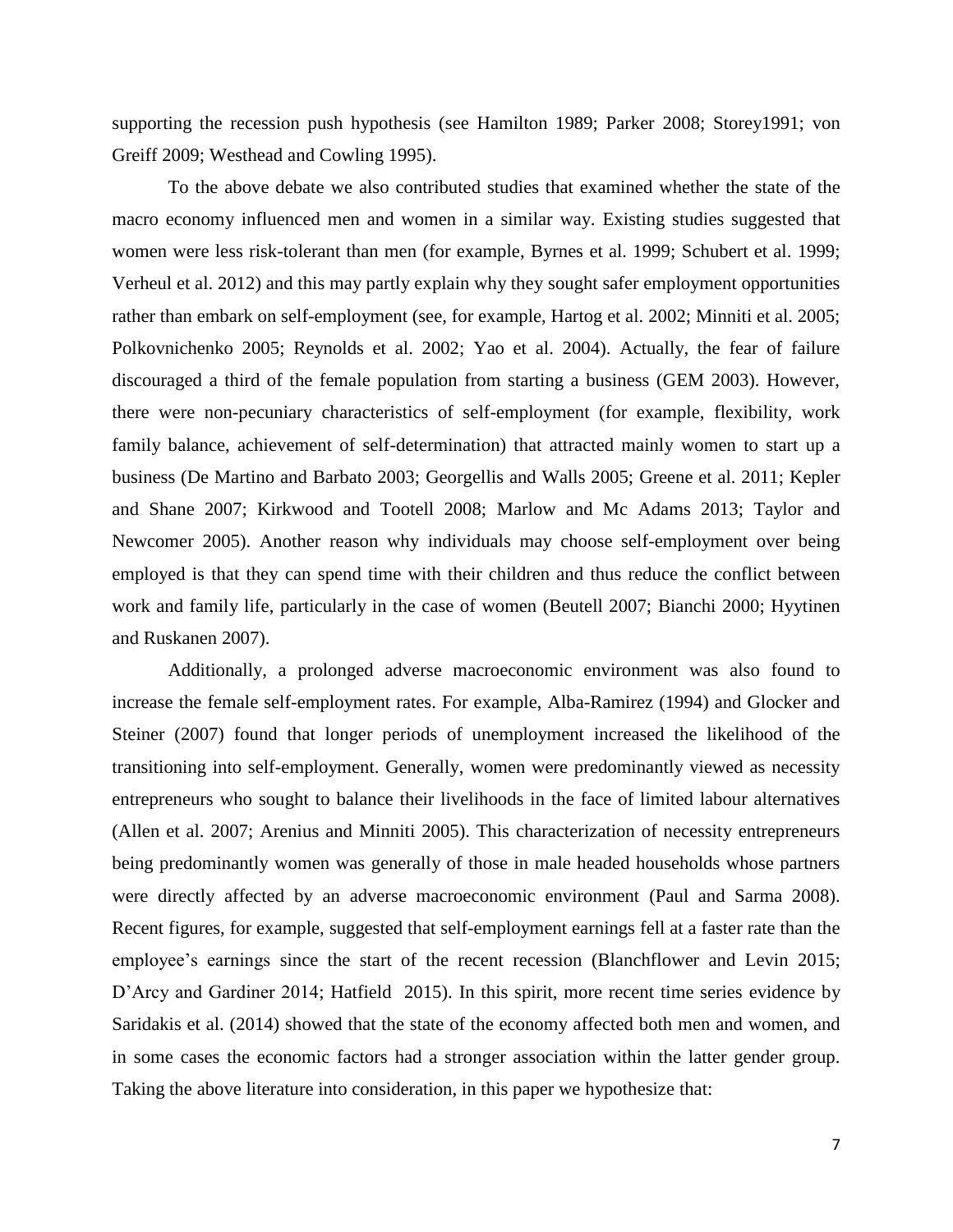supporting the recession push hypothesis (see Hamilton 1989; Parker 2008; Storey1991; von Greiff 2009; Westhead and Cowling 1995).

 To the above debate we also contributed studies that examined whether the state of the macro economy influenced men and women in a similar way. Existing studies suggested that women were less risk-tolerant than men (for example, Byrnes et al. 1999; Schubert et al. 1999; Verheul et al. 2012) and this may partly explain why they sought safer employment opportunities rather than embark on self-employment (see, for example, Hartog et al. 2002; Minniti et al. 2005; Polkovnichenko 2005; Reynolds et al. 2002; Yao et al. 2004). Actually, the fear of failure discouraged a third of the female population from starting a business (GEM 2003). However, there were non-pecuniary characteristics of self-employment (for example, flexibility, work family balance, achievement of self-determination) that attracted mainly women to start up a business (De Martino and Barbato 2003; Georgellis and Walls 2005; Greene et al. 2011; Kepler and Shane 2007; Kirkwood and Tootell 2008; Marlow and Mc Adams 2013; Taylor and Newcomer 2005). Another reason why individuals may choose self-employment over being employed is that they can spend time with their children and thus reduce the conflict between work and family life, particularly in the case of women (Beutell 2007; Bianchi 2000; Hyytinen and Ruskanen 2007).

Additionally, a prolonged adverse macroeconomic environment was also found to increase the female self-employment rates. For example, Alba-Ramirez (1994) and Glocker and Steiner (2007) found that longer periods of unemployment increased the likelihood of the transitioning into self-employment. Generally, women were predominantly viewed as necessity entrepreneurs who sought to balance their livelihoods in the face of limited labour alternatives (Allen et al. 2007; Arenius and Minniti 2005). This characterization of necessity entrepreneurs being predominantly women was generally of those in male headed households whose partners were directly affected by an adverse macroeconomic environment (Paul and Sarma 2008). Recent figures, for example, suggested that self-employment earnings fell at a faster rate than the employee's earnings since the start of the recent recession (Blanchflower and Levin 2015; D'Arcy and Gardiner 2014; Hatfield 2015). In this spirit, more recent time series evidence by Saridakis et al. (2014) showed that the state of the economy affected both men and women, and in some cases the economic factors had a stronger association within the latter gender group. Taking the above literature into consideration, in this paper we hypothesize that: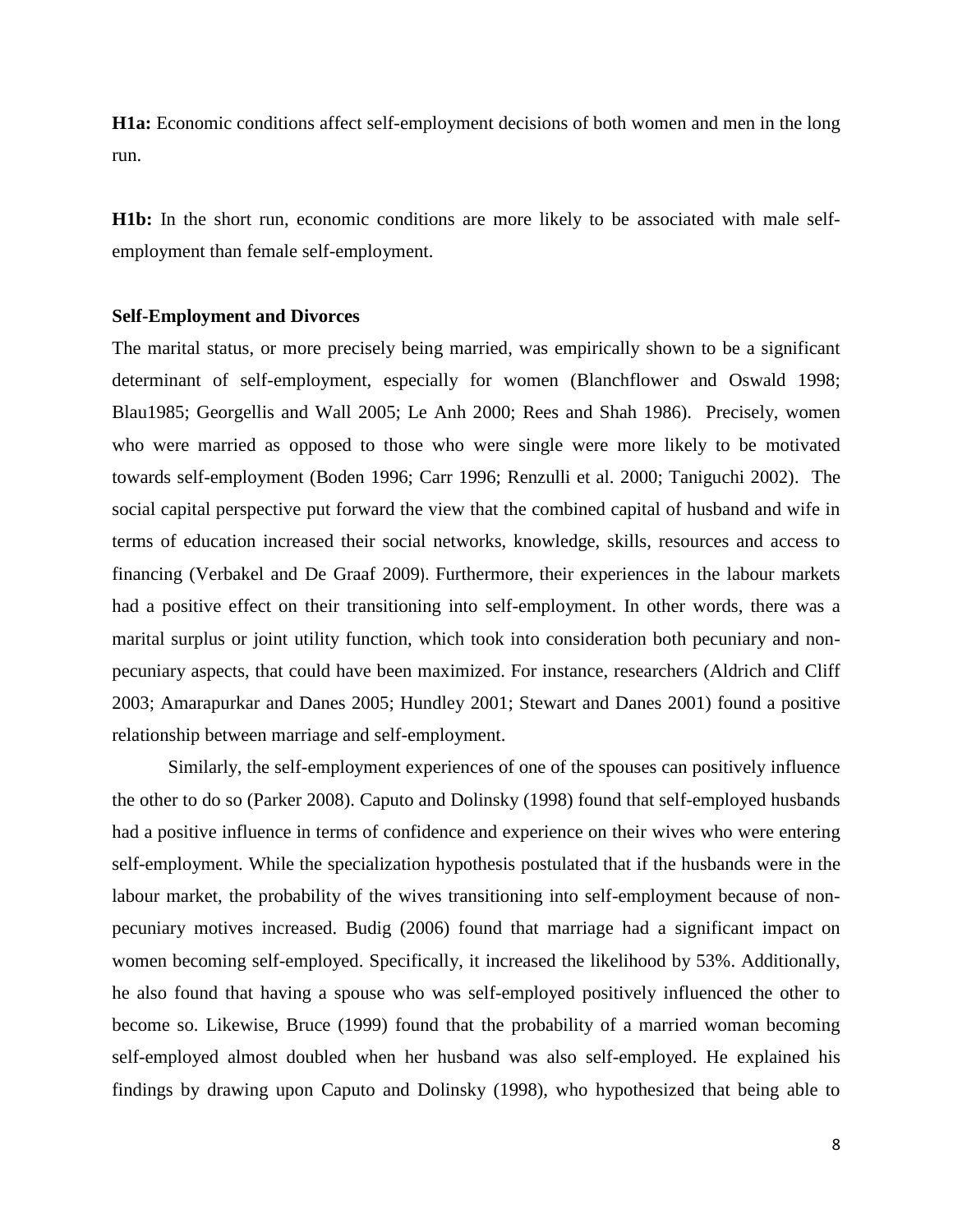**H1a:** Economic conditions affect self-employment decisions of both women and men in the long run.

**H1b:** In the short run, economic conditions are more likely to be associated with male selfemployment than female self-employment.

#### **Self-Employment and Divorces**

The marital status, or more precisely being married, was empirically shown to be a significant determinant of self-employment, especially for women (Blanchflower and Oswald 1998; Blau1985; Georgellis and Wall 2005; Le Anh 2000; Rees and Shah 1986). Precisely, women who were married as opposed to those who were single were more likely to be motivated towards self-employment (Boden 1996; Carr 1996; Renzulli et al. 2000; Taniguchi 2002). The social capital perspective put forward the view that the combined capital of husband and wife in terms of education increased their social networks, knowledge, skills, resources and access to financing (Verbakel and De Graaf 2009). Furthermore, their experiences in the labour markets had a positive effect on their transitioning into self-employment. In other words, there was a marital surplus or joint utility function, which took into consideration both pecuniary and nonpecuniary aspects, that could have been maximized. For instance, researchers (Aldrich and Cliff 2003; Amarapurkar and Danes 2005; Hundley 2001; Stewart and Danes 2001) found a positive relationship between marriage and self-employment.

Similarly, the self-employment experiences of one of the spouses can positively influence the other to do so (Parker 2008). Caputo and Dolinsky (1998) found that self-employed husbands had a positive influence in terms of confidence and experience on their wives who were entering self-employment. While the specialization hypothesis postulated that if the husbands were in the labour market, the probability of the wives transitioning into self-employment because of nonpecuniary motives increased. Budig (2006) found that marriage had a significant impact on women becoming self-employed. Specifically, it increased the likelihood by 53%. Additionally, he also found that having a spouse who was self-employed positively influenced the other to become so. Likewise, Bruce (1999) found that the probability of a married woman becoming self-employed almost doubled when her husband was also self-employed. He explained his findings by drawing upon Caputo and Dolinsky (1998), who hypothesized that being able to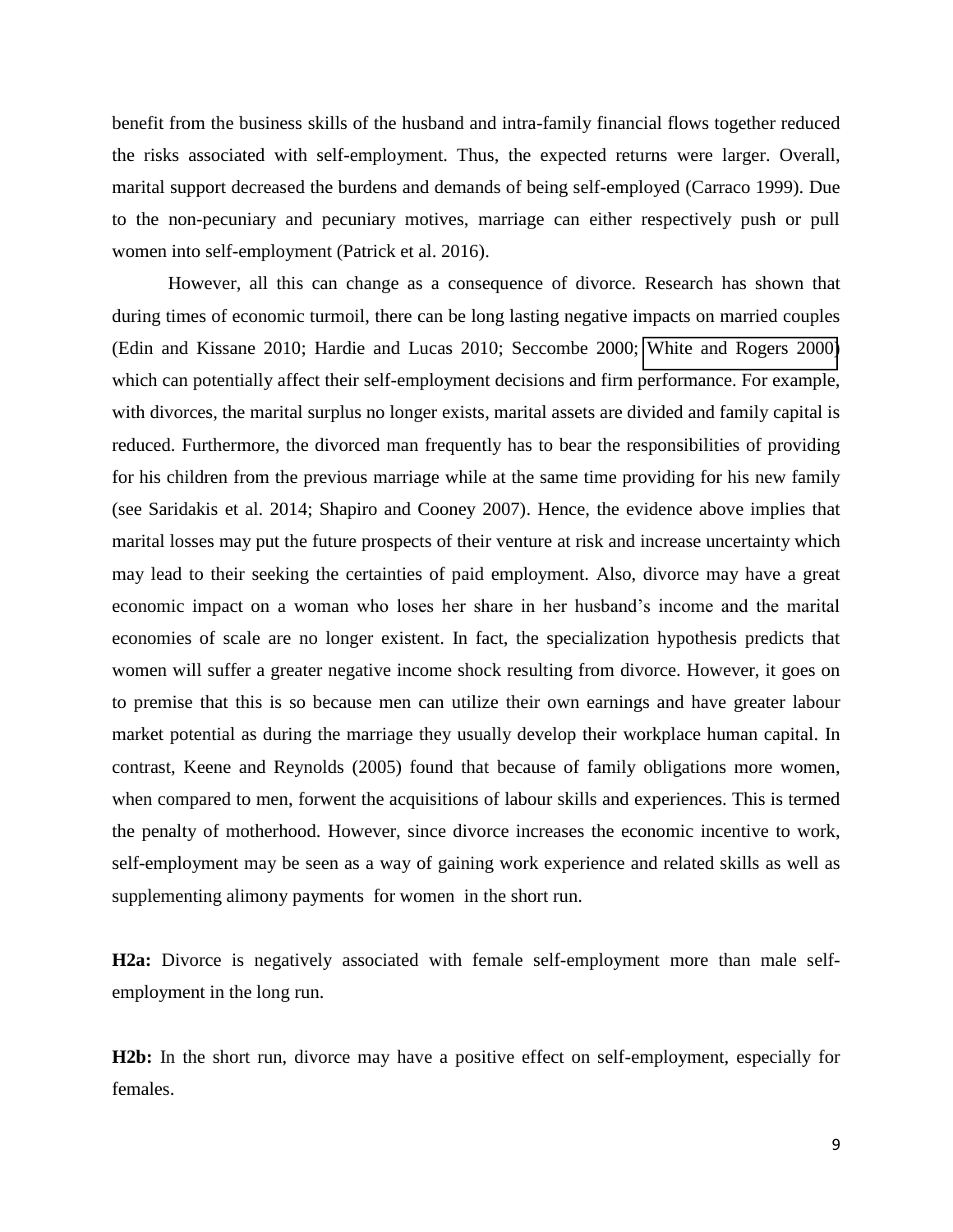benefit from the business skills of the husband and intra-family financial flows together reduced the risks associated with self-employment. Thus, the expected returns were larger. Overall, marital support decreased the burdens and demands of being self-employed (Carraco 1999). Due to the non-pecuniary and pecuniary motives, marriage can either respectively push or pull women into self-employment (Patrick et al. 2016).

However, all this can change as a consequence of divorce. Research has shown that during times of economic turmoil, there can be long lasting negative impacts on married couples (Edin and Kissane 2010; Hardie and Lucas 2010; Seccombe 2000; [White and Rogers 2000\)](https://www.ncbi.nlm.nih.gov/pmc/articles/PMC3116270/#R47) which can potentially affect their self-employment decisions and firm performance. For example, with divorces, the marital surplus no longer exists, marital assets are divided and family capital is reduced. Furthermore, the divorced man frequently has to bear the responsibilities of providing for his children from the previous marriage while at the same time providing for his new family (see Saridakis et al. 2014; Shapiro and Cooney 2007). Hence, the evidence above implies that marital losses may put the future prospects of their venture at risk and increase uncertainty which may lead to their seeking the certainties of paid employment. Also, divorce may have a great economic impact on a woman who loses her share in her husband's income and the marital economies of scale are no longer existent. In fact, the specialization hypothesis predicts that women will suffer a greater negative income shock resulting from divorce. However, it goes on to premise that this is so because men can utilize their own earnings and have greater labour market potential as during the marriage they usually develop their workplace human capital. In contrast, Keene and Reynolds (2005) found that because of family obligations more women, when compared to men, forwent the acquisitions of labour skills and experiences. This is termed the penalty of motherhood. However, since divorce increases the economic incentive to work, self-employment may be seen as a way of gaining work experience and related skills as well as supplementing alimony payments for women in the short run.

**H2a:** Divorce is negatively associated with female self-employment more than male selfemployment in the long run.

**H2b:** In the short run, divorce may have a positive effect on self-employment, especially for females.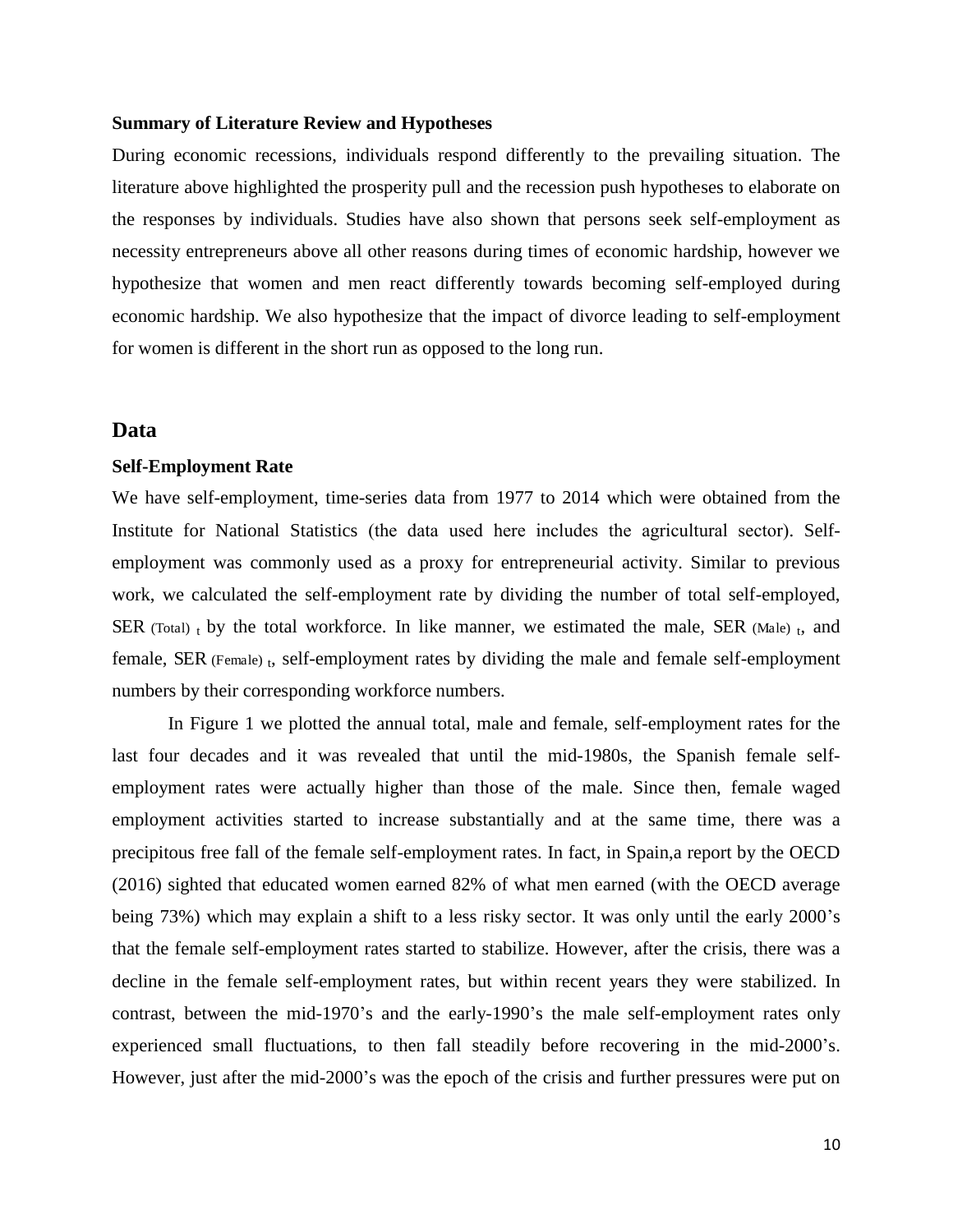#### **Summary of Literature Review and Hypotheses**

During economic recessions, individuals respond differently to the prevailing situation. The literature above highlighted the prosperity pull and the recession push hypotheses to elaborate on the responses by individuals. Studies have also shown that persons seek self-employment as necessity entrepreneurs above all other reasons during times of economic hardship, however we hypothesize that women and men react differently towards becoming self-employed during economic hardship. We also hypothesize that the impact of divorce leading to self-employment for women is different in the short run as opposed to the long run.

#### **Data**

#### **Self-Employment Rate**

We have self-employment, time-series data from 1977 to 2014 which were obtained from the Institute for National Statistics (the data used here includes the agricultural sector). Selfemployment was commonly used as a proxy for entrepreneurial activity. Similar to previous work, we calculated the self-employment rate by dividing the number of total self-employed, SER (Total) t by the total workforce. In like manner, we estimated the male, SER (Male) t, and female, SER (Female) t, self-employment rates by dividing the male and female self-employment numbers by their corresponding workforce numbers.

In Figure 1 we plotted the annual total, male and female, self-employment rates for the last four decades and it was revealed that until the mid-1980s, the Spanish female selfemployment rates were actually higher than those of the male. Since then, female waged employment activities started to increase substantially and at the same time, there was a precipitous free fall of the female self-employment rates. In fact, in Spain,a report by the OECD (2016) sighted that educated women earned 82% of what men earned (with the OECD average being 73%) which may explain a shift to a less risky sector. It was only until the early 2000's that the female self-employment rates started to stabilize. However, after the crisis, there was a decline in the female self-employment rates, but within recent years they were stabilized. In contrast, between the mid-1970's and the early-1990's the male self-employment rates only experienced small fluctuations, to then fall steadily before recovering in the mid-2000's. However, just after the mid-2000's was the epoch of the crisis and further pressures were put on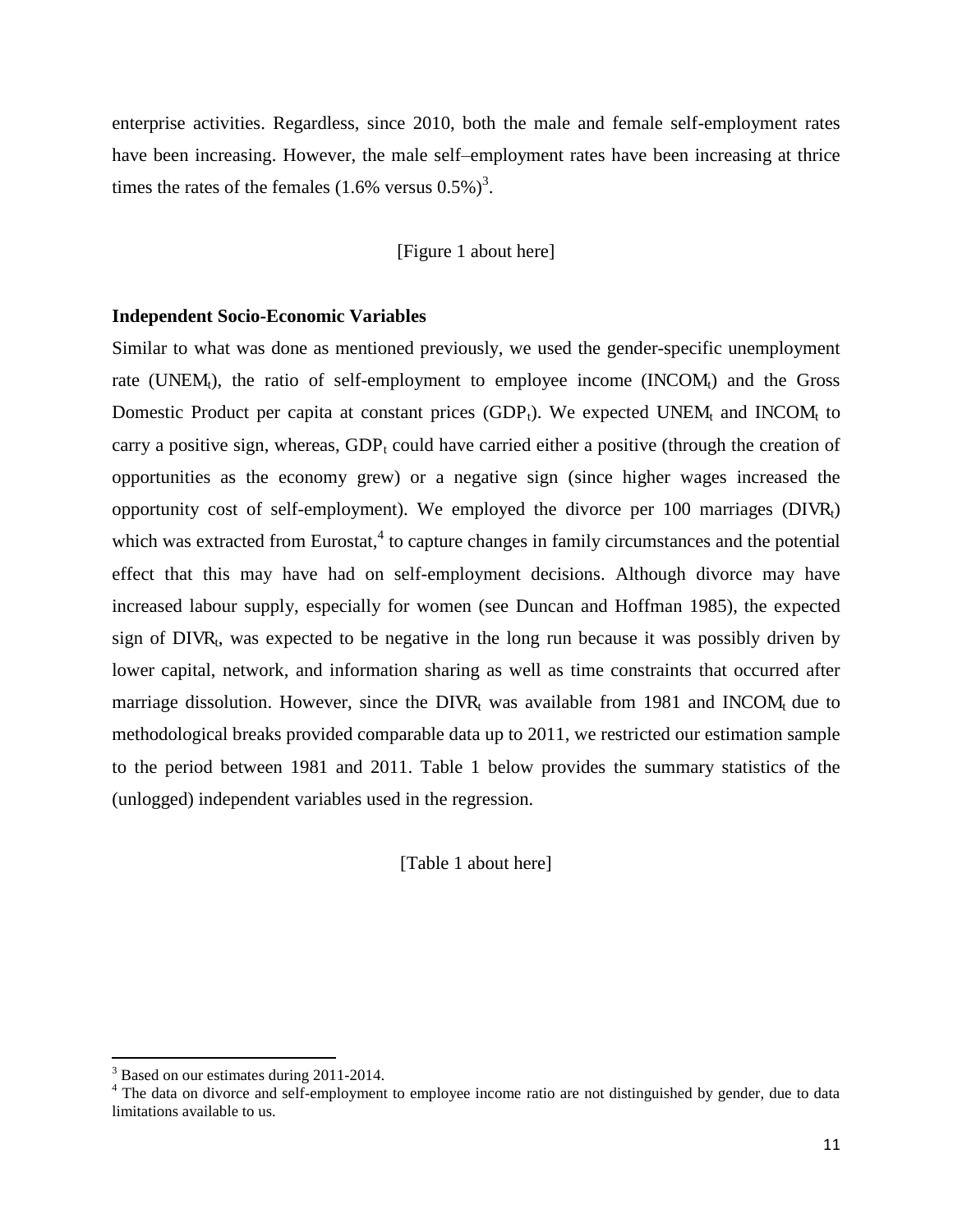enterprise activities. Regardless, since 2010, both the male and female self-employment rates have been increasing. However, the male self–employment rates have been increasing at thrice times the rates of the females  $(1.6\% \text{ versus } 0.5\%)^3$ .

[Figure 1 about here]

#### **Independent Socio-Economic Variables**

Similar to what was done as mentioned previously, we used the gender-specific unemployment rate (UNEM<sub>t</sub>), the ratio of self-employment to employee income (INCOM<sub>t</sub>) and the Gross Domestic Product per capita at constant prices  $(GDP_t)$ . We expected UNEM<sub>t</sub> and INCOM<sub>t</sub> to carry a positive sign, whereas,  $GDP_t$  could have carried either a positive (through the creation of opportunities as the economy grew) or a negative sign (since higher wages increased the opportunity cost of self-employment). We employed the divorce per 100 marriages  $(DIVR<sub>t</sub>)$ which was extracted from Eurostat, $4$  to capture changes in family circumstances and the potential effect that this may have had on self-employment decisions. Although divorce may have increased labour supply, especially for women (see Duncan and Hoffman 1985), the expected sign of  $DIVR_t$ , was expected to be negative in the long run because it was possibly driven by lower capital, network, and information sharing as well as time constraints that occurred after marriage dissolution. However, since the  $DIVR_t$  was available from 1981 and INCOM $_t$  due to methodological breaks provided comparable data up to 2011, we restricted our estimation sample to the period between 1981 and 2011. Table 1 below provides the summary statistics of the (unlogged) independent variables used in the regression.

[Table 1 about here]

<sup>&</sup>lt;sup>3</sup> Based on our estimates during 2011-2014.<br><sup>4</sup> The data on divorce and self-employment to employee income ratio are not distinguished by gender, due to data limitations available to us.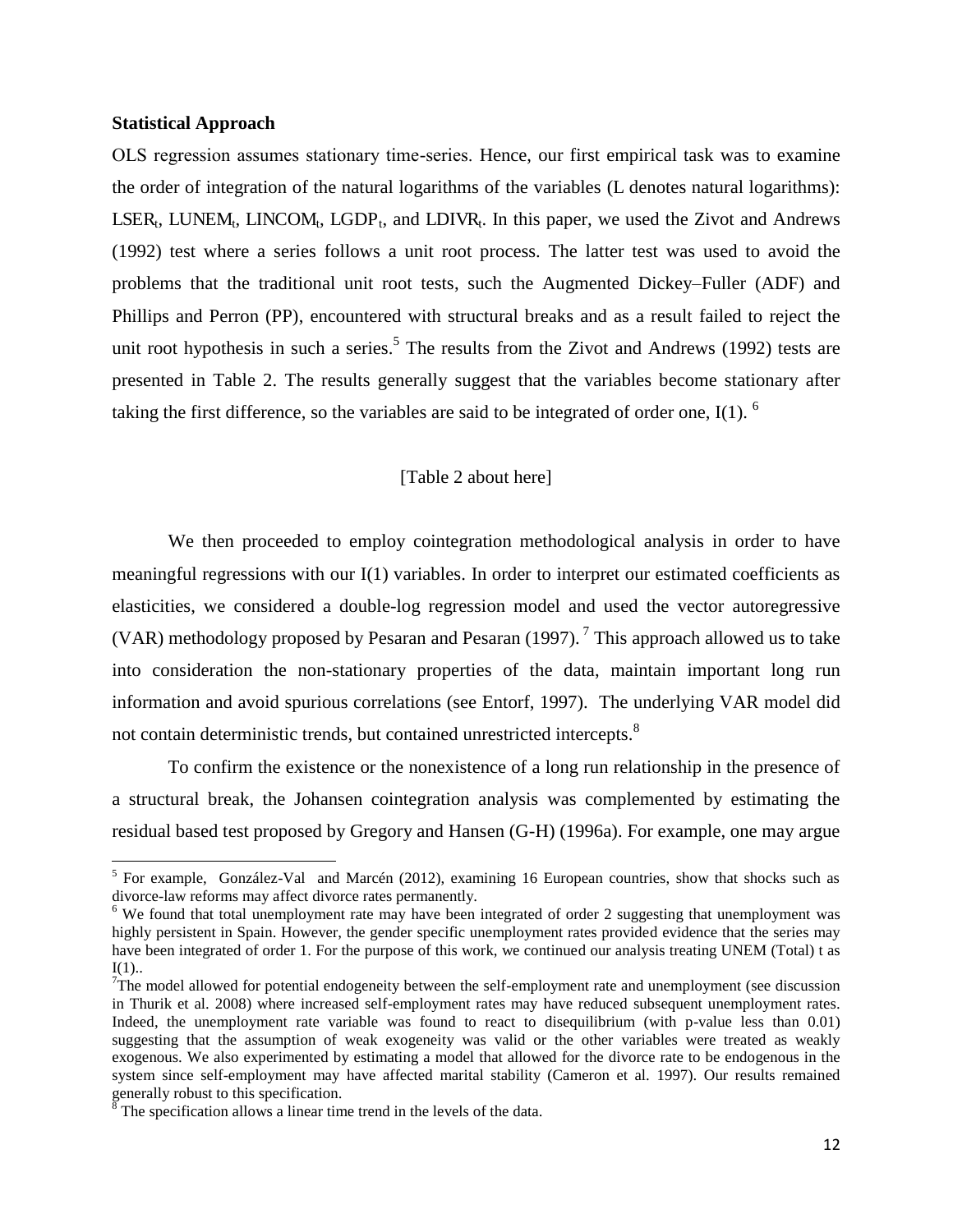#### **Statistical Approach**

 $\overline{a}$ 

OLS regression assumes stationary time-series. Hence, our first empirical task was to examine the order of integration of the natural logarithms of the variables (L denotes natural logarithms):  $LSER_t$ , LUNEM<sub>t</sub>, LINCOM<sub>t</sub>, LGDP<sub>t</sub>, and LDIVR<sub>t</sub>. In this paper, we used the Zivot and Andrews (1992) test where a series follows a unit root process. The latter test was used to avoid the problems that the traditional unit root tests, such the Augmented Dickey–Fuller (ADF) and Phillips and Perron (PP), encountered with structural breaks and as a result failed to reject the unit root hypothesis in such a series.<sup>5</sup> The results from the Zivot and Andrews (1992) tests are presented in Table 2. The results generally suggest that the variables become stationary after taking the first difference, so the variables are said to be integrated of order one, I(1).  $\delta$ 

#### [Table 2 about here]

We then proceeded to employ cointegration methodological analysis in order to have meaningful regressions with our I(1) variables. In order to interpret our estimated coefficients as elasticities, we considered a double-log regression model and used the vector autoregressive (VAR) methodology proposed by Pesaran and Pesaran (1997).<sup>7</sup> This approach allowed us to take into consideration the non-stationary properties of the data, maintain important long run information and avoid spurious correlations (see Entorf, 1997). The underlying VAR model did not contain deterministic trends, but contained unrestricted intercepts.<sup>8</sup>

To confirm the existence or the nonexistence of a long run relationship in the presence of a structural break, the Johansen cointegration analysis was complemented by estimating the residual based test proposed by Gregory and Hansen (G-H) (1996a). For example, one may argue

<sup>&</sup>lt;sup>5</sup> For example, González-Val and Marcén (2012), examining 16 European countries, show that shocks such as divorce-law reforms may affect divorce rates permanently.

<sup>&</sup>lt;sup>6</sup> We found that total unemployment rate may have been integrated of order 2 suggesting that unemployment was highly persistent in Spain. However, the gender specific unemployment rates provided evidence that the series may have been integrated of order 1. For the purpose of this work, we continued our analysis treating UNEM (Total) t as  $I(1)$ ..

 $T$ The model allowed for potential endogeneity between the self-employment rate and unemployment (see discussion in Thurik et al. 2008) where increased self-employment rates may have reduced subsequent unemployment rates. Indeed, the unemployment rate variable was found to react to disequilibrium (with p-value less than 0.01) suggesting that the assumption of weak exogeneity was valid or the other variables were treated as weakly exogenous. We also experimented by estimating a model that allowed for the divorce rate to be endogenous in the system since self-employment may have affected marital stability (Cameron et al. 1997). Our results remained generally robust to this specification.<br><sup>8</sup> The specification allows a linear time trend in the levels of the data.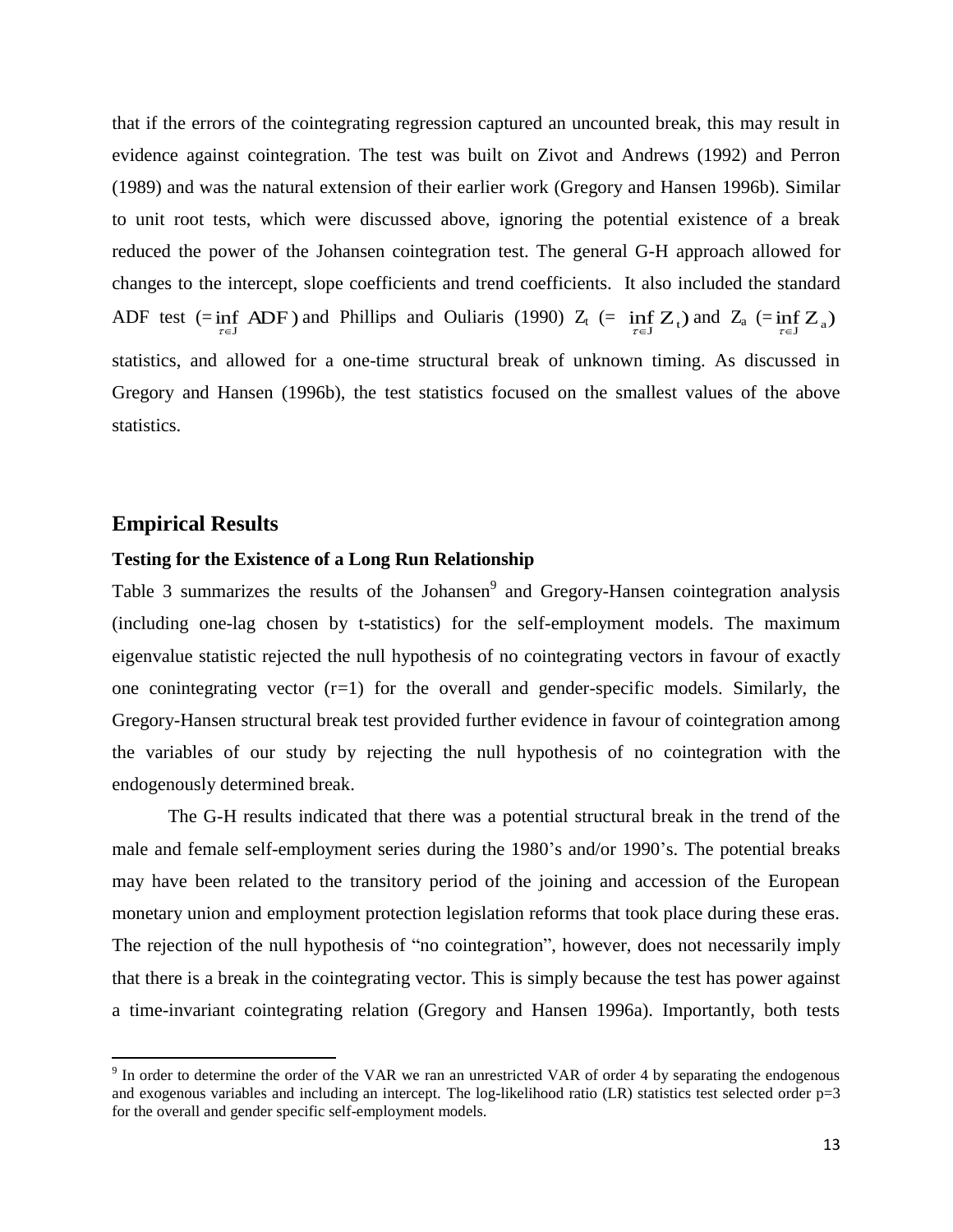that if the errors of the cointegrating regression captured an uncounted break, this may result in evidence against cointegration. The test was built on Zivot and Andrews (1992) and Perron (1989) and was the natural extension of their earlier work (Gregory and Hansen 1996b). Similar to unit root tests, which were discussed above, ignoring the potential existence of a break reduced the power of the Johansen cointegration test. The general G-H approach allowed for changes to the intercept, slope coefficients and trend coefficients. It also included the standard ADF test (=inf ADF) and Phillips and Ouliaris (1990)  $Z_t$  (= inf  $Z_t$ ) and  $Z_a$  (=inf  $Z_a$ ) statistics, and allowed for a one-time structural break of unknown timing. As discussed in Gregory and Hansen (1996b), the test statistics focused on the smallest values of the above statistics.

#### **Empirical Results**

 $\overline{\phantom{0}}$ 

#### **Testing for the Existence of a Long Run Relationship**

Table 3 summarizes the results of the Johansen<sup>9</sup> and Gregory-Hansen cointegration analysis (including one-lag chosen by t-statistics) for the self-employment models. The maximum eigenvalue statistic rejected the null hypothesis of no cointegrating vectors in favour of exactly one conintegrating vector (r=1) for the overall and gender-specific models. Similarly, the Gregory-Hansen structural break test provided further evidence in favour of cointegration among the variables of our study by rejecting the null hypothesis of no cointegration with the endogenously determined break.

The G-H results indicated that there was a potential structural break in the trend of the male and female self-employment series during the 1980's and/or 1990's. The potential breaks may have been related to the transitory period of the joining and accession of the European monetary union and employment protection legislation reforms that took place during these eras. The rejection of the null hypothesis of "no cointegration", however, does not necessarily imply that there is a break in the cointegrating vector. This is simply because the test has power against a time-invariant cointegrating relation (Gregory and Hansen 1996a). Importantly, both tests

 $9$  In order to determine the order of the VAR we ran an unrestricted VAR of order 4 by separating the endogenous and exogenous variables and including an intercept. The log-likelihood ratio (LR) statistics test selected order  $p=3$ for the overall and gender specific self-employment models.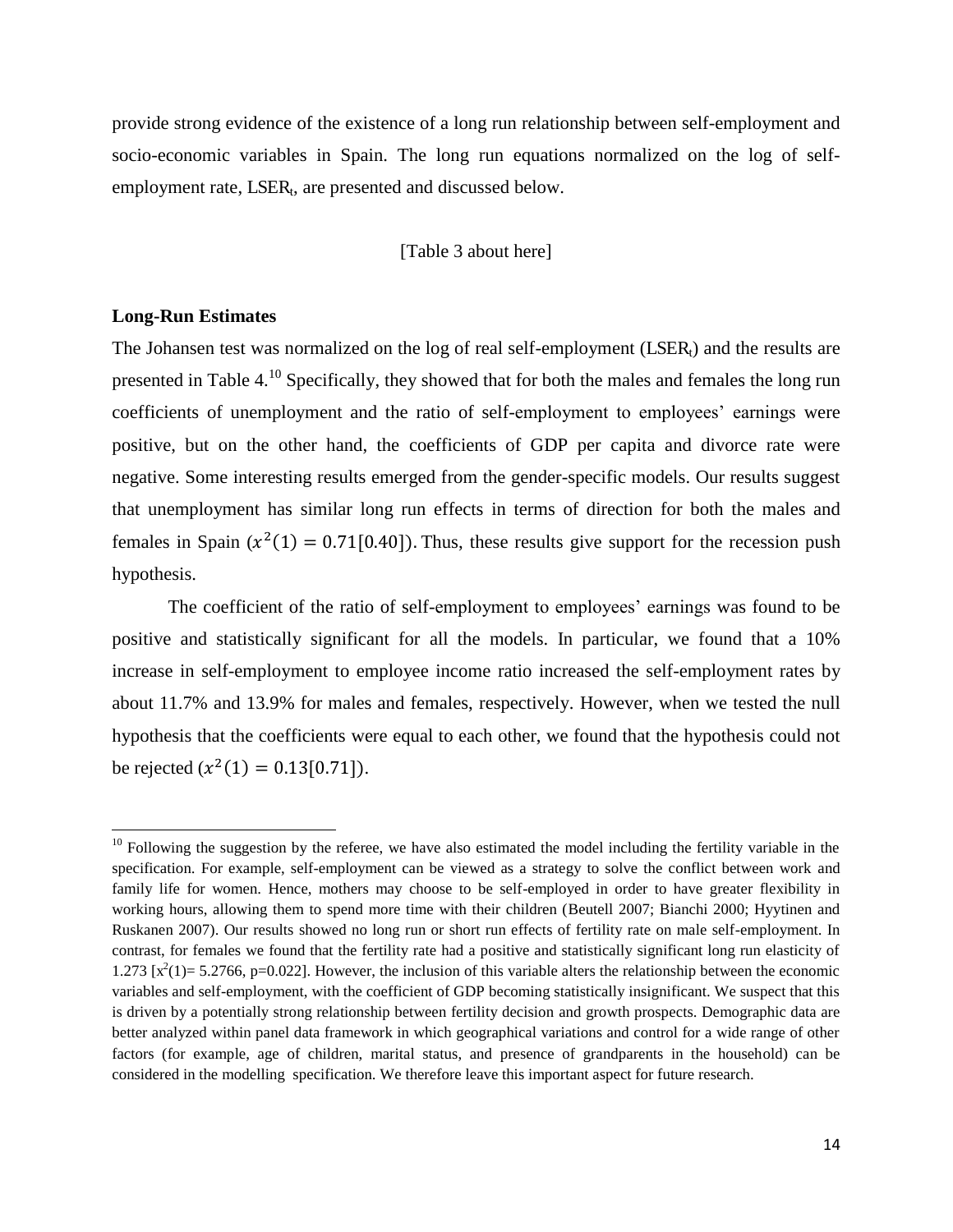provide strong evidence of the existence of a long run relationship between self-employment and socio-economic variables in Spain. The long run equations normalized on the log of selfemployment rate, LSER<sub>t</sub>, are presented and discussed below.

[Table 3 about here]

#### **Long-Run Estimates**

l

The Johansen test was normalized on the log of real self-employment  $(LSER_t)$  and the results are presented in Table  $4^{10}$  Specifically, they showed that for both the males and females the long run coefficients of unemployment and the ratio of self-employment to employees' earnings were positive, but on the other hand, the coefficients of GDP per capita and divorce rate were negative. Some interesting results emerged from the gender-specific models. Our results suggest that unemployment has similar long run effects in terms of direction for both the males and females in Spain  $(x^2(1) = 0.71[0.40])$ . Thus, these results give support for the recession push hypothesis.

The coefficient of the ratio of self-employment to employees' earnings was found to be positive and statistically significant for all the models. In particular, we found that a 10% increase in self-employment to employee income ratio increased the self-employment rates by about 11.7% and 13.9% for males and females, respectively. However, when we tested the null hypothesis that the coefficients were equal to each other, we found that the hypothesis could not be rejected  $(x^2(1) = 0.13[0.71])$ .

 $10$  Following the suggestion by the referee, we have also estimated the model including the fertility variable in the specification. For example, self-employment can be viewed as a strategy to solve the conflict between work and family life for women. Hence, mothers may choose to be self-employed in order to have greater flexibility in working hours, allowing them to spend more time with their children (Beutell 2007; Bianchi 2000; Hyytinen and Ruskanen 2007). Our results showed no long run or short run effects of fertility rate on male self-employment. In contrast, for females we found that the fertility rate had a positive and statistically significant long run elasticity of 1.273  $[x^2(1) = 5.2766, p=0.022]$ . However, the inclusion of this variable alters the relationship between the economic variables and self-employment, with the coefficient of GDP becoming statistically insignificant. We suspect that this is driven by a potentially strong relationship between fertility decision and growth prospects. Demographic data are better analyzed within panel data framework in which geographical variations and control for a wide range of other factors (for example, age of children, marital status, and presence of grandparents in the household) can be considered in the modelling specification. We therefore leave this important aspect for future research.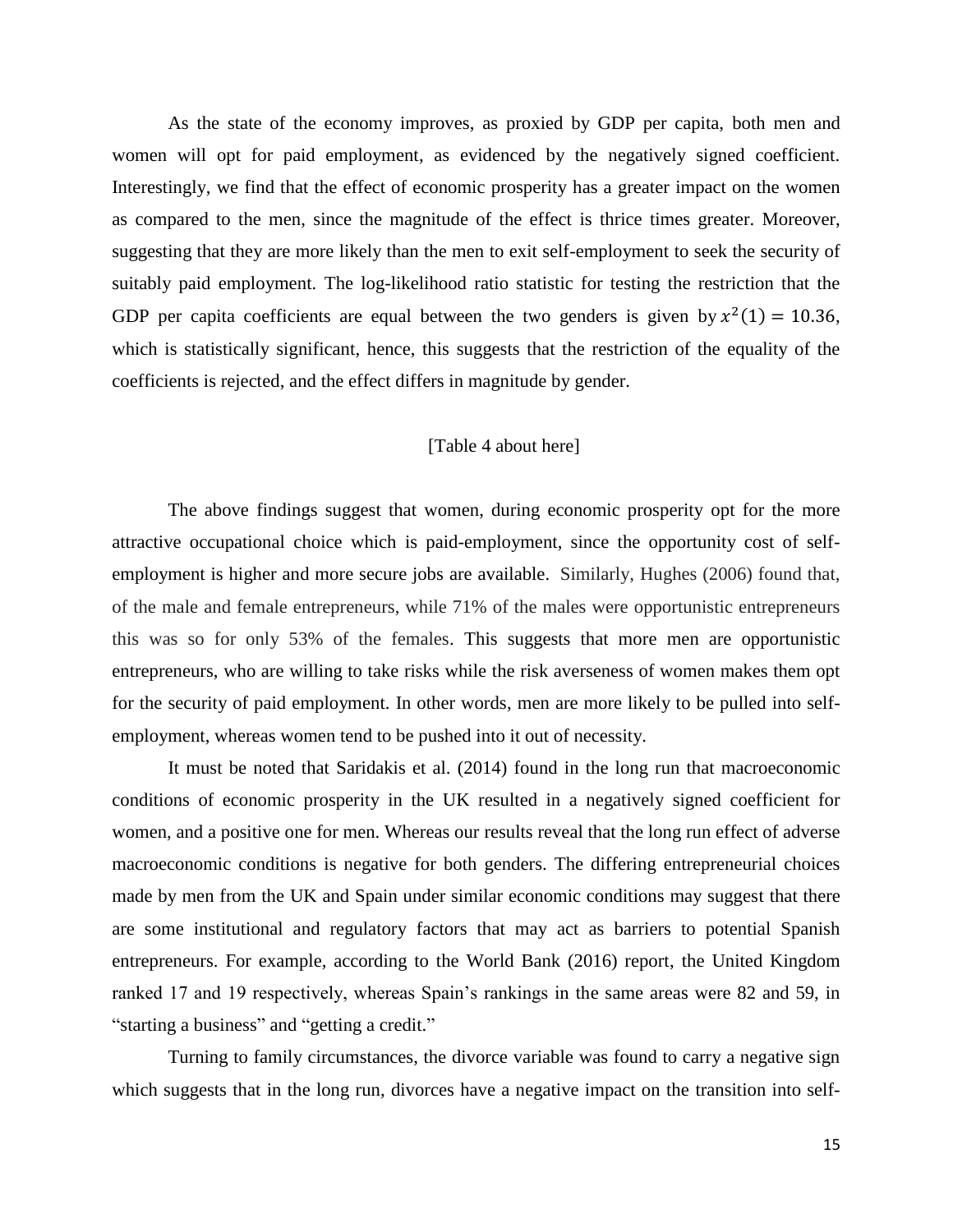As the state of the economy improves, as proxied by GDP per capita, both men and women will opt for paid employment, as evidenced by the negatively signed coefficient. Interestingly, we find that the effect of economic prosperity has a greater impact on the women as compared to the men, since the magnitude of the effect is thrice times greater. Moreover, suggesting that they are more likely than the men to exit self-employment to seek the security of suitably paid employment. The log-likelihood ratio statistic for testing the restriction that the GDP per capita coefficients are equal between the two genders is given by  $x^2(1) = 10.36$ , which is statistically significant, hence, this suggests that the restriction of the equality of the coefficients is rejected, and the effect differs in magnitude by gender.

#### [Table 4 about here]

The above findings suggest that women, during economic prosperity opt for the more attractive occupational choice which is paid-employment, since the opportunity cost of selfemployment is higher and more secure jobs are available. Similarly, Hughes (2006) found that, of the male and female entrepreneurs, while 71% of the males were opportunistic entrepreneurs this was so for only 53% of the females. This suggests that more men are opportunistic entrepreneurs, who are willing to take risks while the risk averseness of women makes them opt for the security of paid employment. In other words, men are more likely to be pulled into selfemployment, whereas women tend to be pushed into it out of necessity.

It must be noted that Saridakis et al. (2014) found in the long run that macroeconomic conditions of economic prosperity in the UK resulted in a negatively signed coefficient for women, and a positive one for men. Whereas our results reveal that the long run effect of adverse macroeconomic conditions is negative for both genders. The differing entrepreneurial choices made by men from the UK and Spain under similar economic conditions may suggest that there are some institutional and regulatory factors that may act as barriers to potential Spanish entrepreneurs. For example, according to the World Bank (2016) report, the United Kingdom ranked 17 and 19 respectively, whereas Spain's rankings in the same areas were 82 and 59, in "starting a business" and "getting a credit."

 Turning to family circumstances, the divorce variable was found to carry a negative sign which suggests that in the long run, divorces have a negative impact on the transition into self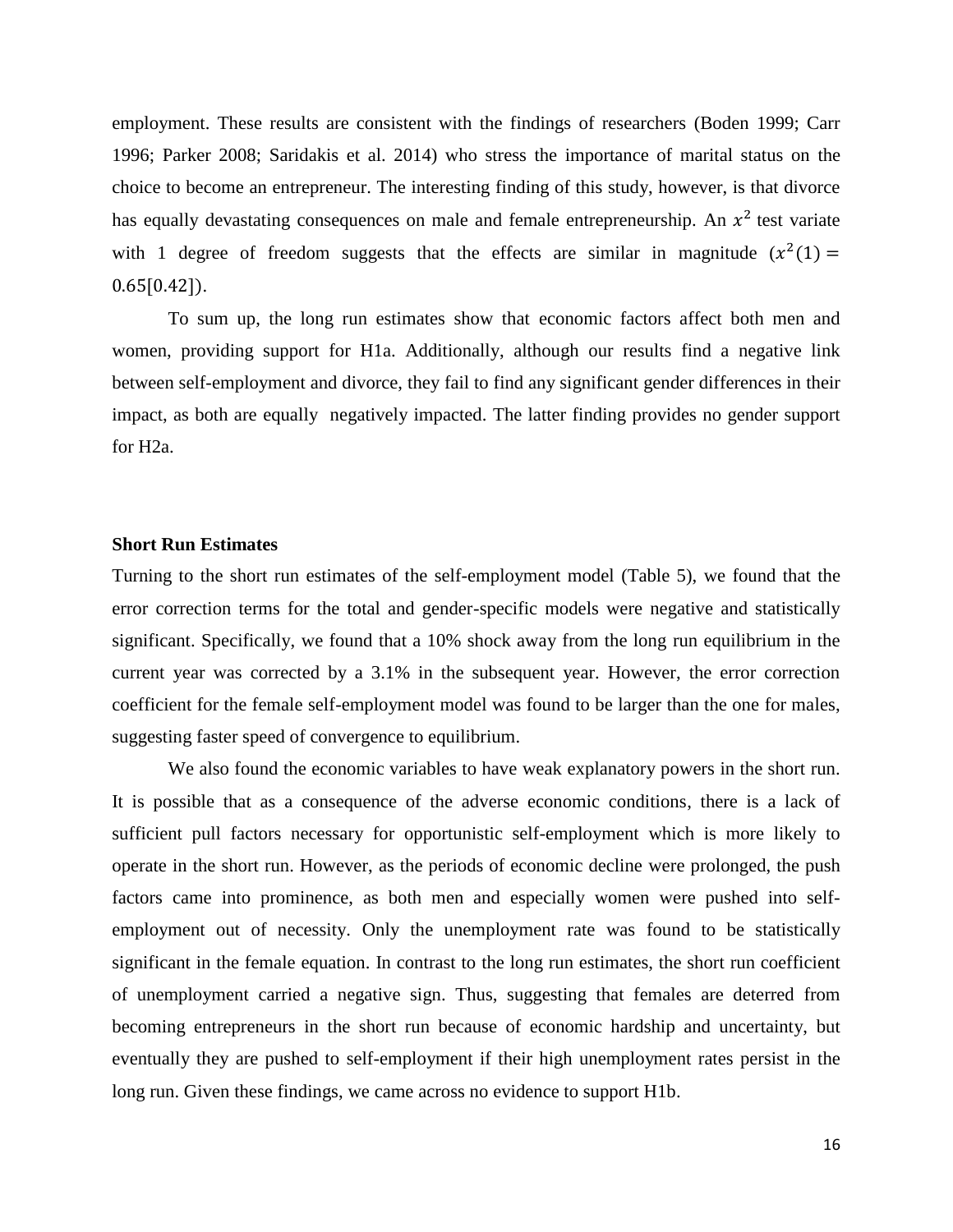employment. These results are consistent with the findings of researchers (Boden 1999; Carr 1996; Parker 2008; Saridakis et al. 2014) who stress the importance of marital status on the choice to become an entrepreneur. The interesting finding of this study, however, is that divorce has equally devastating consequences on male and female entrepreneurship. An  $x^2$  test variate with 1 degree of freedom suggests that the effects are similar in magnitude  $(x^2(1) =$  $0.65[0.42]$ .

To sum up, the long run estimates show that economic factors affect both men and women, providing support for H1a. Additionally, although our results find a negative link between self-employment and divorce, they fail to find any significant gender differences in their impact, as both are equally negatively impacted. The latter finding provides no gender support for H2a.

#### **Short Run Estimates**

Turning to the short run estimates of the self-employment model (Table 5), we found that the error correction terms for the total and gender-specific models were negative and statistically significant. Specifically, we found that a 10% shock away from the long run equilibrium in the current year was corrected by a 3.1% in the subsequent year. However, the error correction coefficient for the female self-employment model was found to be larger than the one for males, suggesting faster speed of convergence to equilibrium.

We also found the economic variables to have weak explanatory powers in the short run. It is possible that as a consequence of the adverse economic conditions, there is a lack of sufficient pull factors necessary for opportunistic self-employment which is more likely to operate in the short run. However, as the periods of economic decline were prolonged, the push factors came into prominence, as both men and especially women were pushed into selfemployment out of necessity. Only the unemployment rate was found to be statistically significant in the female equation. In contrast to the long run estimates, the short run coefficient of unemployment carried a negative sign. Thus, suggesting that females are deterred from becoming entrepreneurs in the short run because of economic hardship and uncertainty, but eventually they are pushed to self-employment if their high unemployment rates persist in the long run. Given these findings, we came across no evidence to support H1b.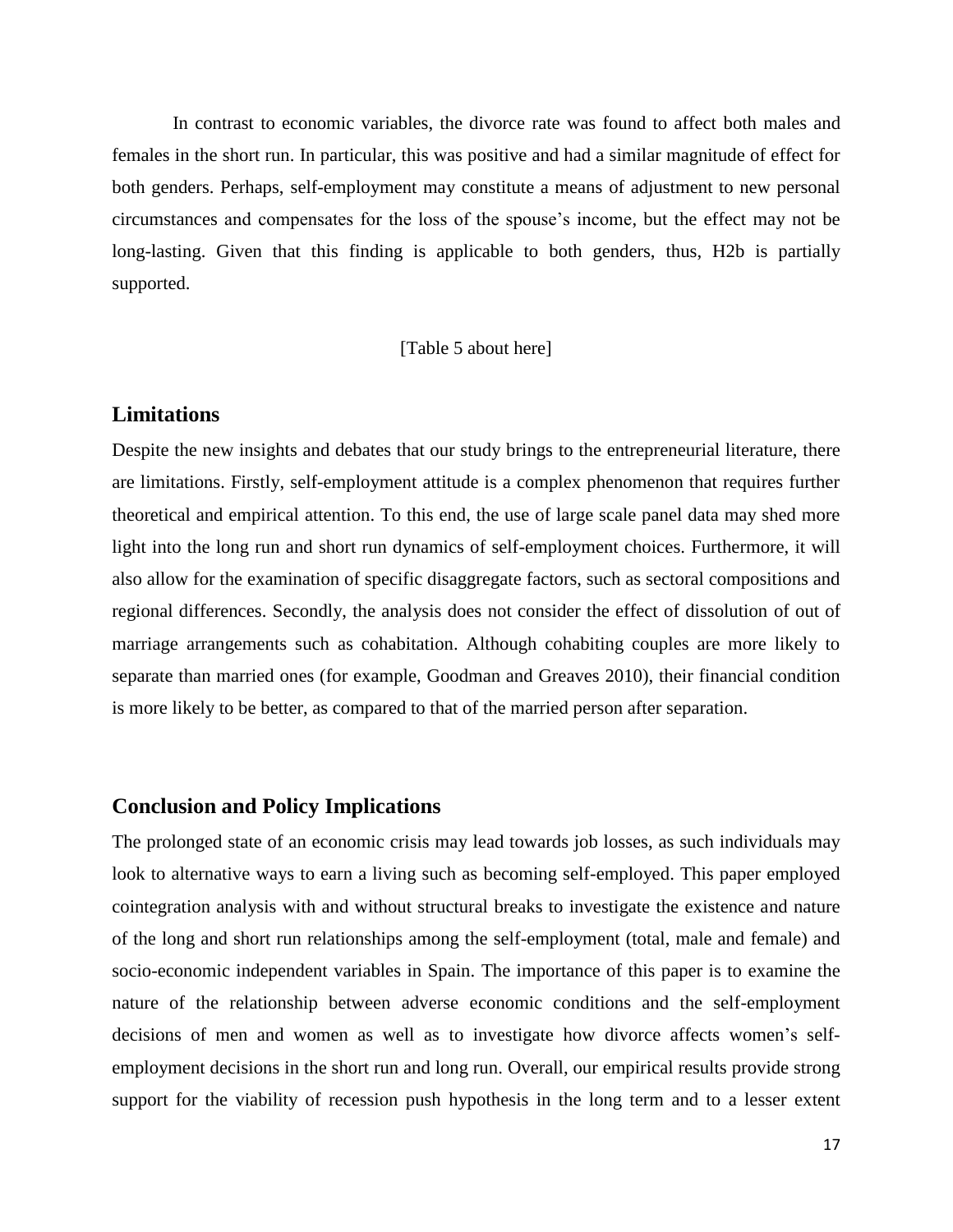In contrast to economic variables, the divorce rate was found to affect both males and females in the short run. In particular, this was positive and had a similar magnitude of effect for both genders. Perhaps, self-employment may constitute a means of adjustment to new personal circumstances and compensates for the loss of the spouse's income, but the effect may not be long-lasting. Given that this finding is applicable to both genders, thus, H2b is partially supported.

[Table 5 about here]

#### **Limitations**

Despite the new insights and debates that our study brings to the entrepreneurial literature, there are limitations. Firstly, self-employment attitude is a complex phenomenon that requires further theoretical and empirical attention. To this end, the use of large scale panel data may shed more light into the long run and short run dynamics of self-employment choices. Furthermore, it will also allow for the examination of specific disaggregate factors, such as sectoral compositions and regional differences. Secondly, the analysis does not consider the effect of dissolution of out of marriage arrangements such as cohabitation. Although cohabiting couples are more likely to separate than married ones (for example, Goodman and Greaves 2010), their financial condition is more likely to be better, as compared to that of the married person after separation.

#### **Conclusion and Policy Implications**

The prolonged state of an economic crisis may lead towards job losses, as such individuals may look to alternative ways to earn a living such as becoming self-employed. This paper employed cointegration analysis with and without structural breaks to investigate the existence and nature of the long and short run relationships among the self-employment (total, male and female) and socio-economic independent variables in Spain. The importance of this paper is to examine the nature of the relationship between adverse economic conditions and the self-employment decisions of men and women as well as to investigate how divorce affects women's selfemployment decisions in the short run and long run. Overall, our empirical results provide strong support for the viability of recession push hypothesis in the long term and to a lesser extent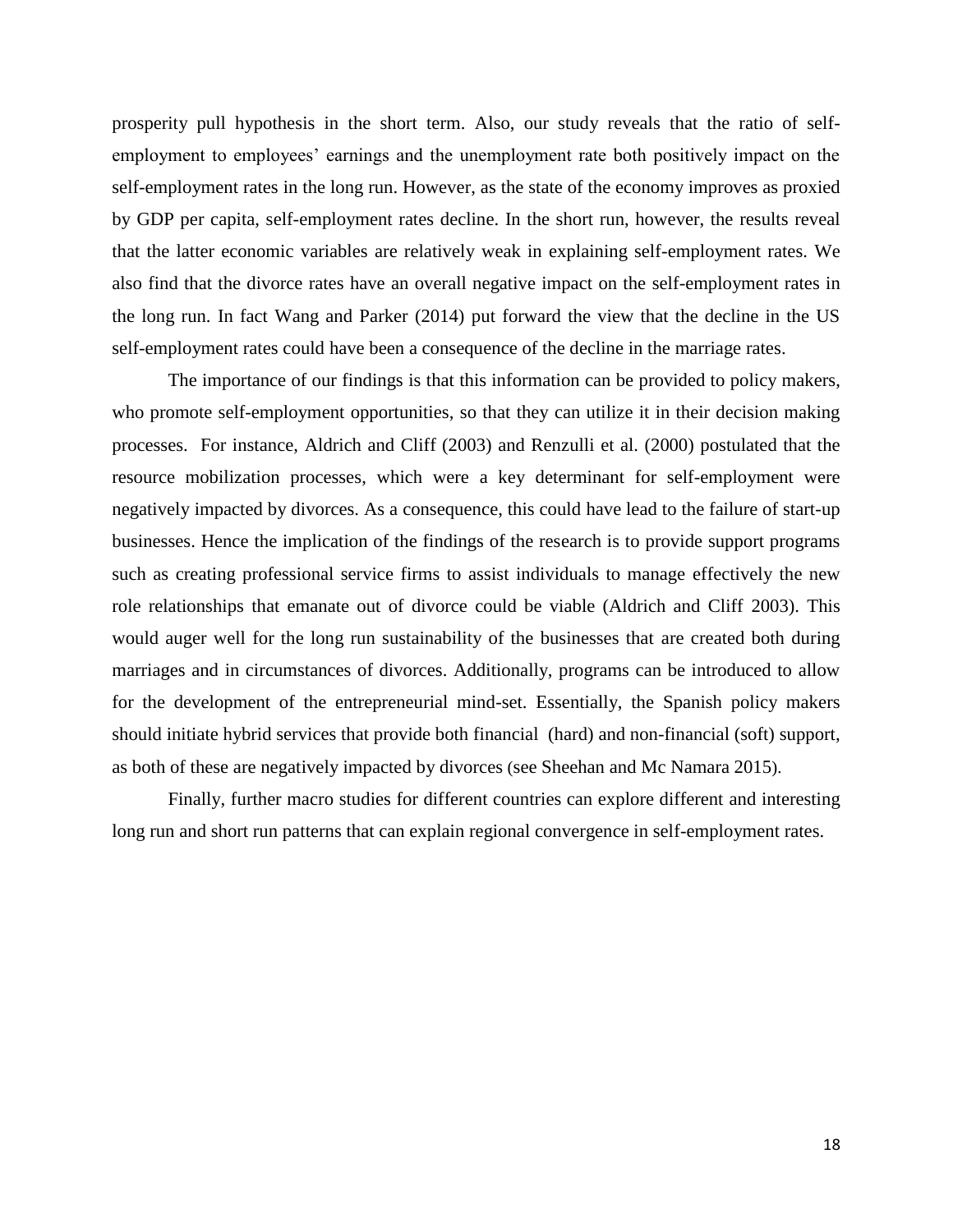prosperity pull hypothesis in the short term. Also, our study reveals that the ratio of selfemployment to employees' earnings and the unemployment rate both positively impact on the self-employment rates in the long run. However, as the state of the economy improves as proxied by GDP per capita, self-employment rates decline. In the short run, however, the results reveal that the latter economic variables are relatively weak in explaining self-employment rates. We also find that the divorce rates have an overall negative impact on the self-employment rates in the long run. In fact Wang and Parker (2014) put forward the view that the decline in the US self-employment rates could have been a consequence of the decline in the marriage rates.

The importance of our findings is that this information can be provided to policy makers, who promote self-employment opportunities, so that they can utilize it in their decision making processes. For instance, Aldrich and Cliff (2003) and Renzulli et al. (2000) postulated that the resource mobilization processes, which were a key determinant for self-employment were negatively impacted by divorces. As a consequence, this could have lead to the failure of start-up businesses. Hence the implication of the findings of the research is to provide support programs such as creating professional service firms to assist individuals to manage effectively the new role relationships that emanate out of divorce could be viable (Aldrich and Cliff 2003). This would auger well for the long run sustainability of the businesses that are created both during marriages and in circumstances of divorces. Additionally, programs can be introduced to allow for the development of the entrepreneurial mind-set. Essentially, the Spanish policy makers should initiate hybrid services that provide both financial (hard) and non-financial (soft) support, as both of these are negatively impacted by divorces (see Sheehan and Mc Namara 2015).

 Finally, further macro studies for different countries can explore different and interesting long run and short run patterns that can explain regional convergence in self-employment rates.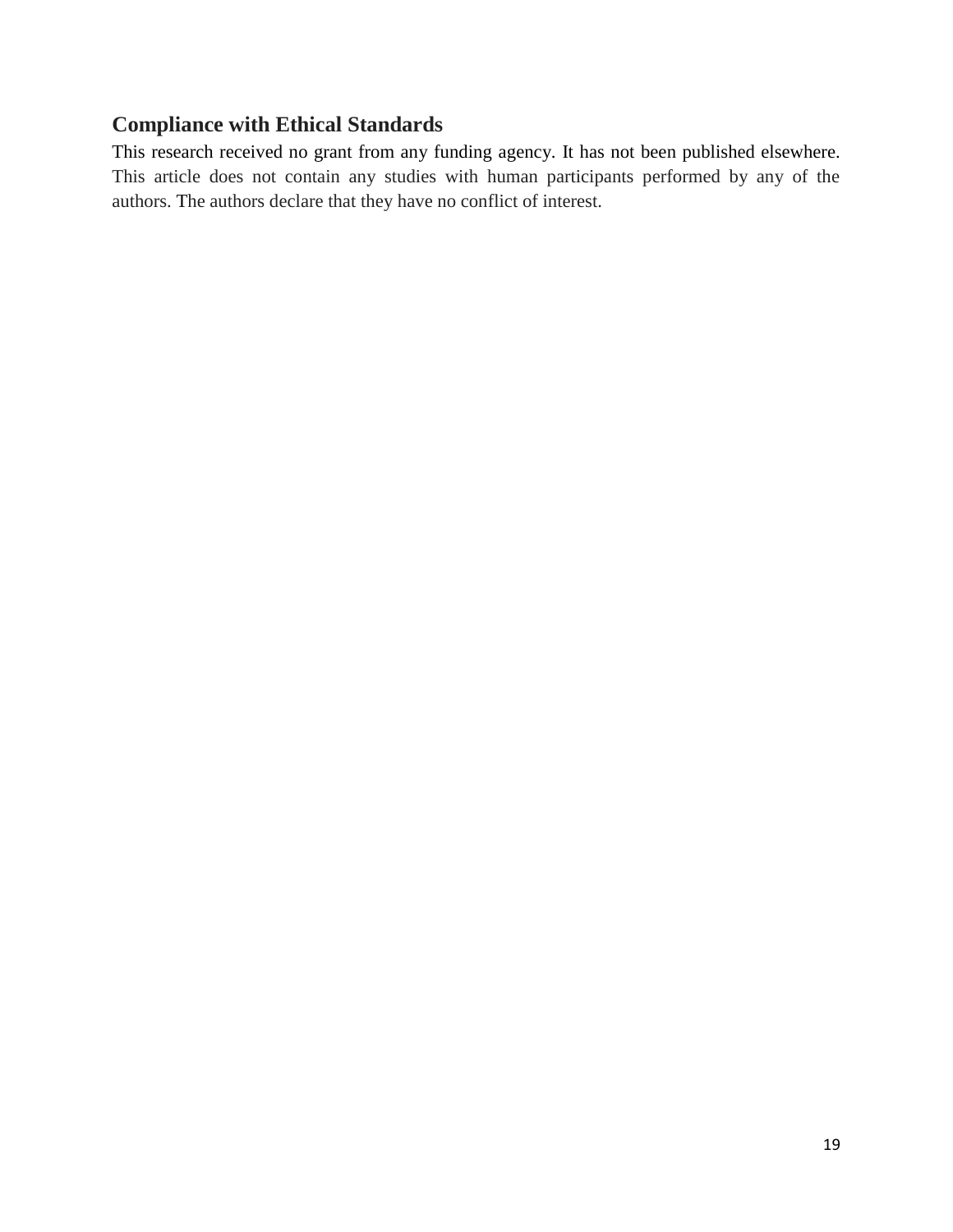### **Compliance with Ethical Standards**

This research received no grant from any funding agency. It has not been published elsewhere. This article does not contain any studies with human participants performed by any of the authors. The authors declare that they have no conflict of interest.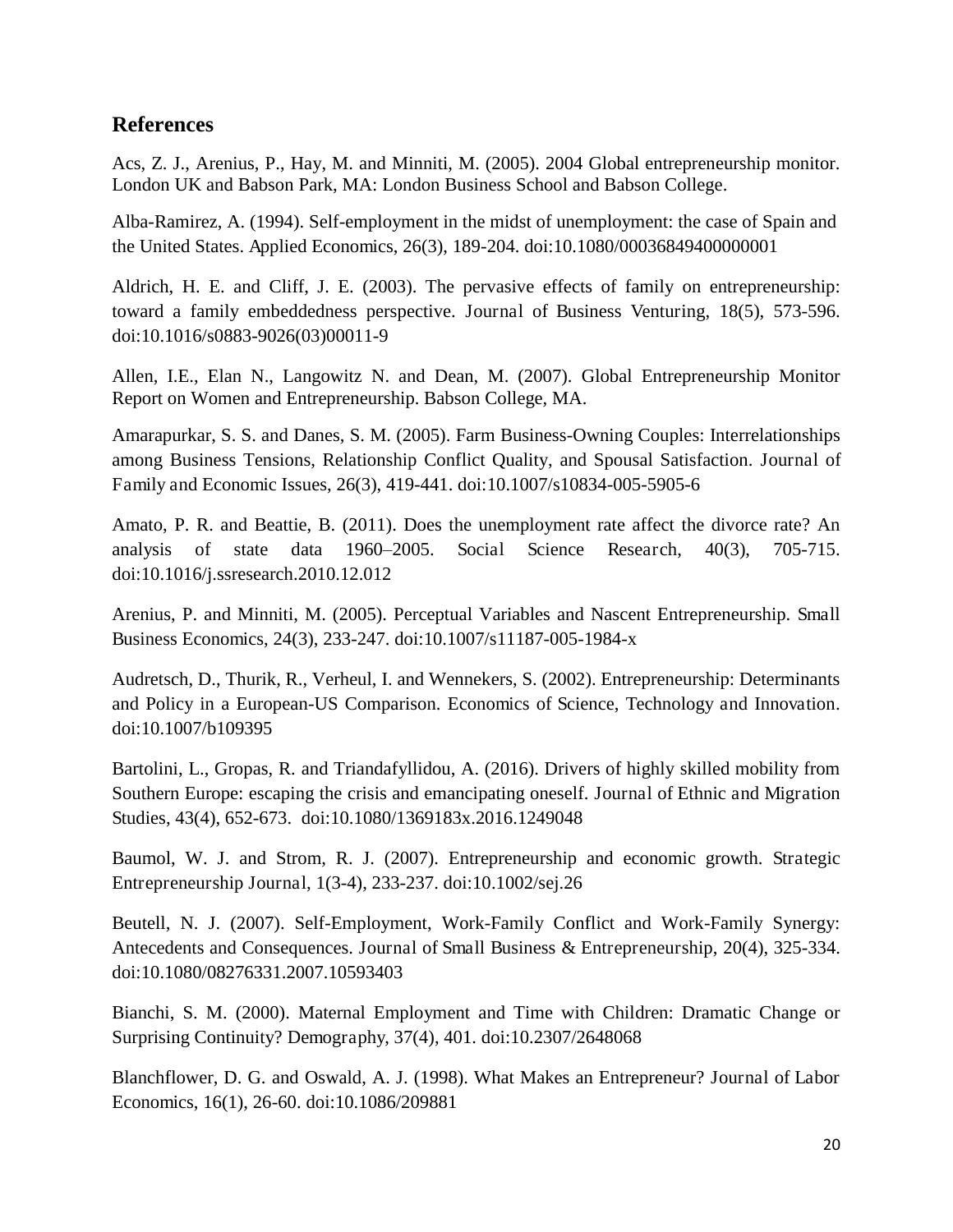#### **References**

Acs, Z. J., Arenius, P., Hay, M. and Minniti, M. (2005). 2004 Global entrepreneurship monitor. London UK and Babson Park, MA: London Business School and Babson College.

Alba-Ramirez, A. (1994). Self-employment in the midst of unemployment: the case of Spain and the United States. Applied Economics, 26(3), 189-204. doi:10.1080/00036849400000001

Aldrich, H. E. and Cliff, J. E. (2003). The pervasive effects of family on entrepreneurship: toward a family embeddedness perspective. Journal of Business Venturing, 18(5), 573-596. doi:10.1016/s0883-9026(03)00011-9

Allen, I.E., Elan N., Langowitz N. and Dean, M. (2007). Global Entrepreneurship Monitor Report on Women and Entrepreneurship. Babson College, MA.

Amarapurkar, S. S. and Danes, S. M. (2005). Farm Business-Owning Couples: Interrelationships among Business Tensions, Relationship Conflict Quality, and Spousal Satisfaction. Journal of Family and Economic Issues, 26(3), 419-441. doi:10.1007/s10834-005-5905-6

Amato, P. R. and Beattie, B. (2011). Does the unemployment rate affect the divorce rate? An analysis of state data 1960–2005. Social Science Research, 40(3), 705-715. doi:10.1016/j.ssresearch.2010.12.012

Arenius, P. and Minniti, M. (2005). Perceptual Variables and Nascent Entrepreneurship. Small Business Economics, 24(3), 233-247. doi:10.1007/s11187-005-1984-x

Audretsch, D., Thurik, R., Verheul, I. and Wennekers, S. (2002). Entrepreneurship: Determinants and Policy in a European-US Comparison. Economics of Science, Technology and Innovation. doi:10.1007/b109395

Bartolini, L., Gropas, R. and Triandafyllidou, A. (2016). Drivers of highly skilled mobility from Southern Europe: escaping the crisis and emancipating oneself. Journal of Ethnic and Migration Studies, 43(4), 652-673. doi:10.1080/1369183x.2016.1249048

Baumol, W. J. and Strom, R. J. (2007). Entrepreneurship and economic growth. Strategic Entrepreneurship Journal, 1(3-4), 233-237. doi:10.1002/sej.26

Beutell, N. J. (2007). Self-Employment, Work-Family Conflict and Work-Family Synergy: Antecedents and Consequences. Journal of Small Business & Entrepreneurship, 20(4), 325-334. doi:10.1080/08276331.2007.10593403

Bianchi, S. M. (2000). Maternal Employment and Time with Children: Dramatic Change or Surprising Continuity? Demography, 37(4), 401. doi:10.2307/2648068

Blanchflower, D. G. and Oswald, A. J. (1998). What Makes an Entrepreneur? Journal of Labor Economics, 16(1), 26-60. doi:10.1086/209881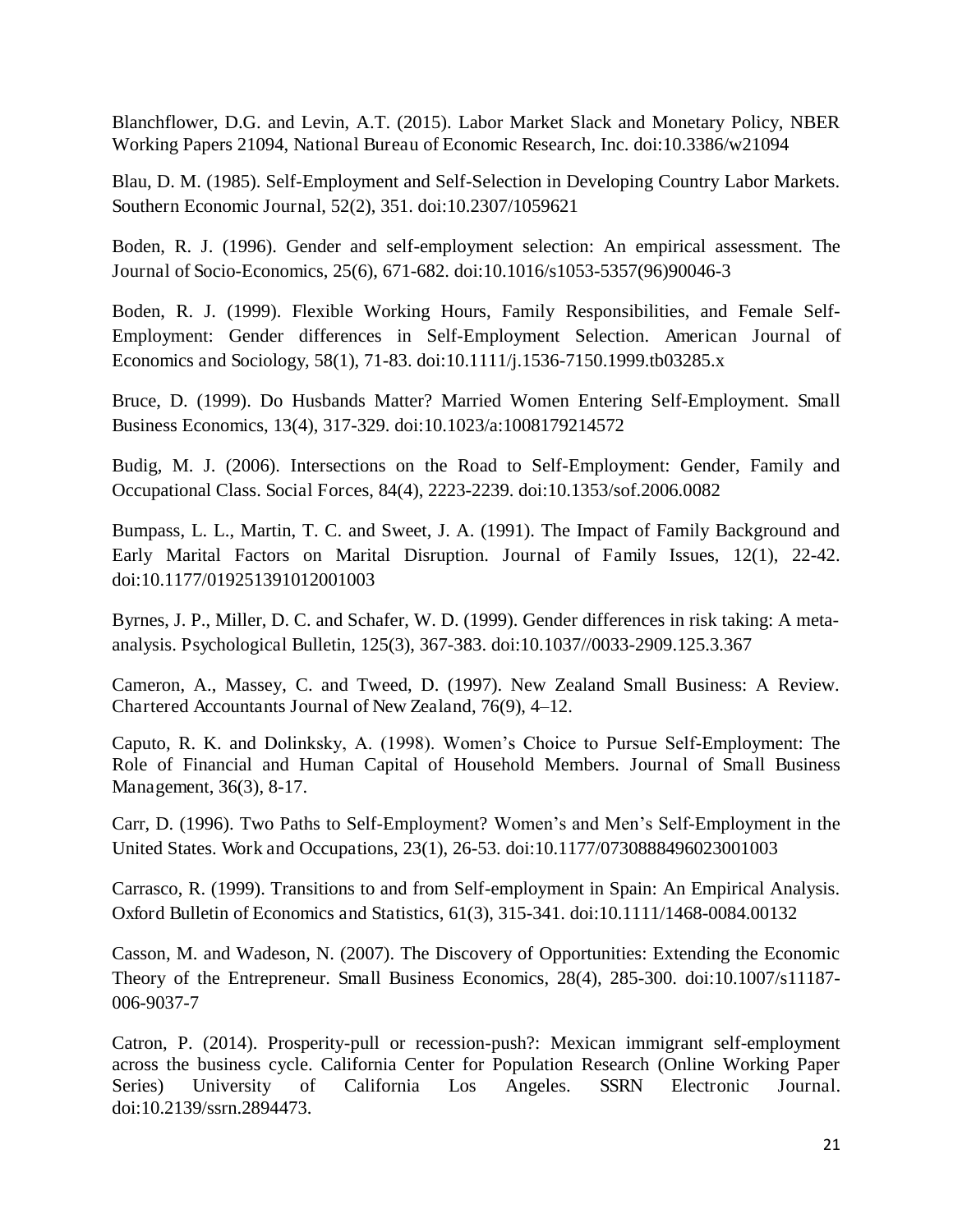Blanchflower, D.G. and Levin, A.T. (2015). Labor Market Slack and Monetary Policy, NBER Working Papers 21094, National Bureau of Economic Research, Inc. doi:10.3386/w21094

Blau, D. M. (1985). Self-Employment and Self-Selection in Developing Country Labor Markets. Southern Economic Journal, 52(2), 351. doi:10.2307/1059621

Boden, R. J. (1996). Gender and self-employment selection: An empirical assessment. The Journal of Socio-Economics, 25(6), 671-682. doi:10.1016/s1053-5357(96)90046-3

Boden, R. J. (1999). Flexible Working Hours, Family Responsibilities, and Female Self-Employment: Gender differences in Self-Employment Selection. American Journal of Economics and Sociology, 58(1), 71-83. doi:10.1111/j.1536-7150.1999.tb03285.x

Bruce, D. (1999). Do Husbands Matter? Married Women Entering Self-Employment. Small Business Economics, 13(4), 317-329. doi:10.1023/a:1008179214572

Budig, M. J. (2006). Intersections on the Road to Self-Employment: Gender, Family and Occupational Class. Social Forces, 84(4), 2223-2239. doi:10.1353/sof.2006.0082

Bumpass, L. L., Martin, T. C. and Sweet, J. A. (1991). The Impact of Family Background and Early Marital Factors on Marital Disruption. Journal of Family Issues, 12(1), 22-42. doi:10.1177/019251391012001003

Byrnes, J. P., Miller, D. C. and Schafer, W. D. (1999). Gender differences in risk taking: A metaanalysis. Psychological Bulletin, 125(3), 367-383. doi:10.1037//0033-2909.125.3.367

Cameron, A., Massey, C. and Tweed, D. (1997). New Zealand Small Business: A Review. Chartered Accountants Journal of New Zealand, 76(9), 4–12.

Caputo, R. K. and Dolinksky, A. (1998). Women's Choice to Pursue Self-Employment: The Role of Financial and Human Capital of Household Members. Journal of Small Business Management, 36(3), 8-17.

Carr, D. (1996). Two Paths to Self-Employment? Women's and Men's Self-Employment in the United States. Work and Occupations, 23(1), 26-53. doi:10.1177/0730888496023001003

Carrasco, R. (1999). Transitions to and from Self-employment in Spain: An Empirical Analysis. Oxford Bulletin of Economics and Statistics, 61(3), 315-341. doi:10.1111/1468-0084.00132

Casson, M. and Wadeson, N. (2007). The Discovery of Opportunities: Extending the Economic Theory of the Entrepreneur. Small Business Economics, 28(4), 285-300. doi:10.1007/s11187- 006-9037-7

Catron, P. (2014). Prosperity-pull or recession-push?: Mexican immigrant self-employment across the business cycle. California Center for Population Research (Online Working Paper Series) University of California Los Angeles. SSRN Electronic Journal. doi:10.2139/ssrn.2894473.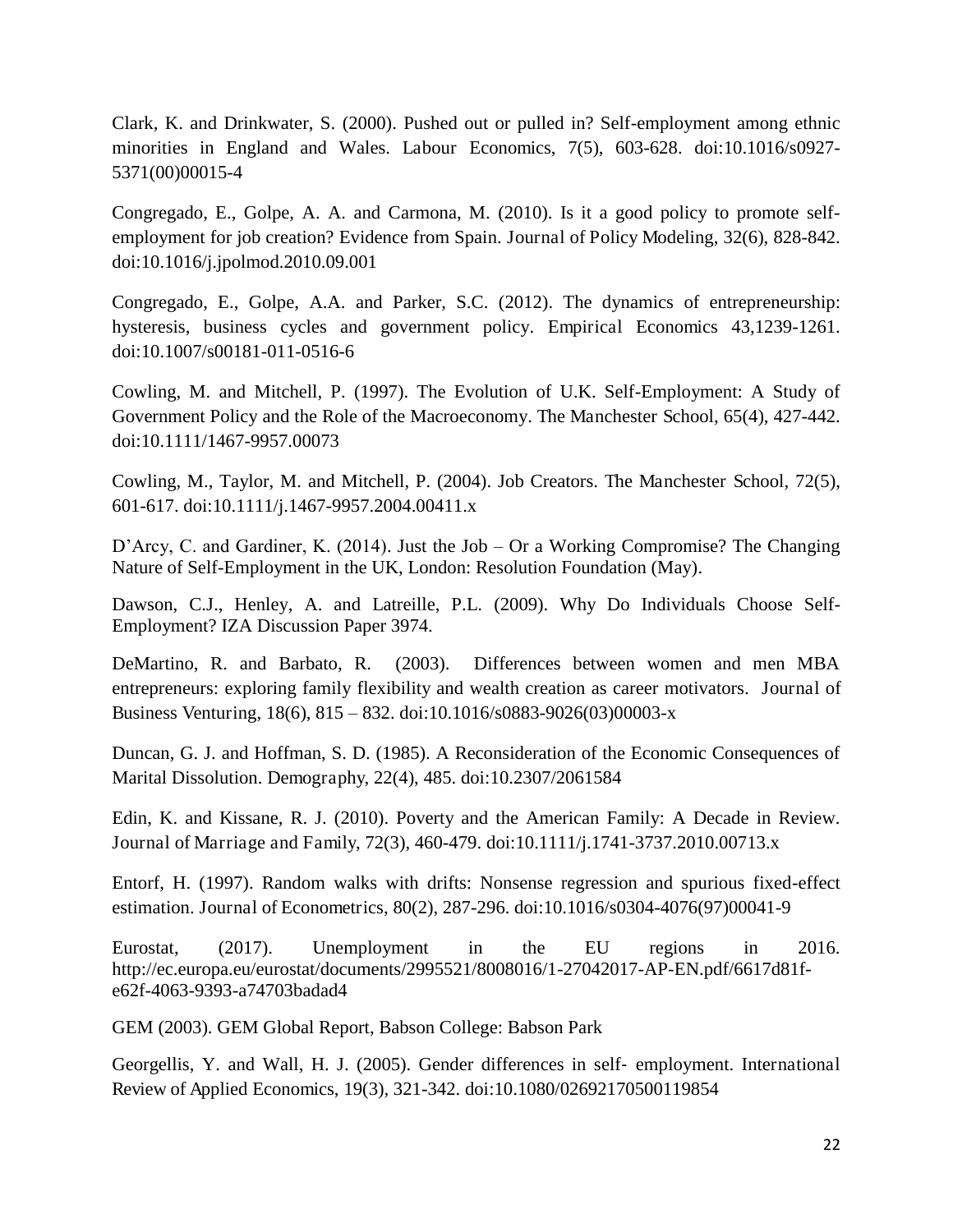Clark, K. and Drinkwater, S. (2000). Pushed out or pulled in? Self-employment among ethnic minorities in England and Wales. Labour Economics, 7(5), 603-628. doi:10.1016/s0927- 5371(00)00015-4

Congregado, E., Golpe, A. A. and Carmona, M. (2010). Is it a good policy to promote selfemployment for job creation? Evidence from Spain. Journal of Policy Modeling, 32(6), 828-842. doi:10.1016/j.jpolmod.2010.09.001

Congregado, E., Golpe, A.A. and Parker, S.C. (2012). The dynamics of entrepreneurship: hysteresis, business cycles and government policy. Empirical Economics 43,1239-1261. doi:10.1007/s00181-011-0516-6

Cowling, M. and Mitchell, P. (1997). The Evolution of U.K. Self-Employment: A Study of Government Policy and the Role of the Macroeconomy. The Manchester School, 65(4), 427-442. doi:10.1111/1467-9957.00073

Cowling, M., Taylor, M. and Mitchell, P. (2004). Job Creators. The Manchester School, 72(5), 601-617. doi:10.1111/j.1467-9957.2004.00411.x

D'Arcy, C. and Gardiner, K. (2014). Just the Job – Or a Working Compromise? The Changing Nature of Self-Employment in the UK, London: Resolution Foundation (May).

Dawson, C.J., Henley, A. and Latreille, P.L. (2009). Why Do Individuals Choose Self-Employment? IZA Discussion Paper 3974.

DeMartino, R. and Barbato, R. (2003). Differences between women and men MBA entrepreneurs: exploring family flexibility and wealth creation as career motivators. Journal of Business Venturing, 18(6), 815 – 832. doi:10.1016/s0883-9026(03)00003-x

Duncan, G. J. and Hoffman, S. D. (1985). A Reconsideration of the Economic Consequences of Marital Dissolution. Demography, 22(4), 485. doi:10.2307/2061584

Edin, K. and Kissane, R. J. (2010). Poverty and the American Family: A Decade in Review. Journal of Marriage and Family, 72(3), 460-479. doi:10.1111/j.1741-3737.2010.00713.x

Entorf, H. (1997). Random walks with drifts: Nonsense regression and spurious fixed-effect estimation. Journal of Econometrics, 80(2), 287-296. doi:10.1016/s0304-4076(97)00041-9

Eurostat, (2017). Unemployment in the EU regions in 2016. http://ec.europa.eu/eurostat/documents/2995521/8008016/1-27042017-AP-EN.pdf/6617d81fe62f-4063-9393-a74703badad4

GEM (2003). GEM Global Report, Babson College: Babson Park

Georgellis, Y. and Wall, H. J. (2005). Gender differences in self-employment. International Review of Applied Economics, 19(3), 321-342. doi:10.1080/02692170500119854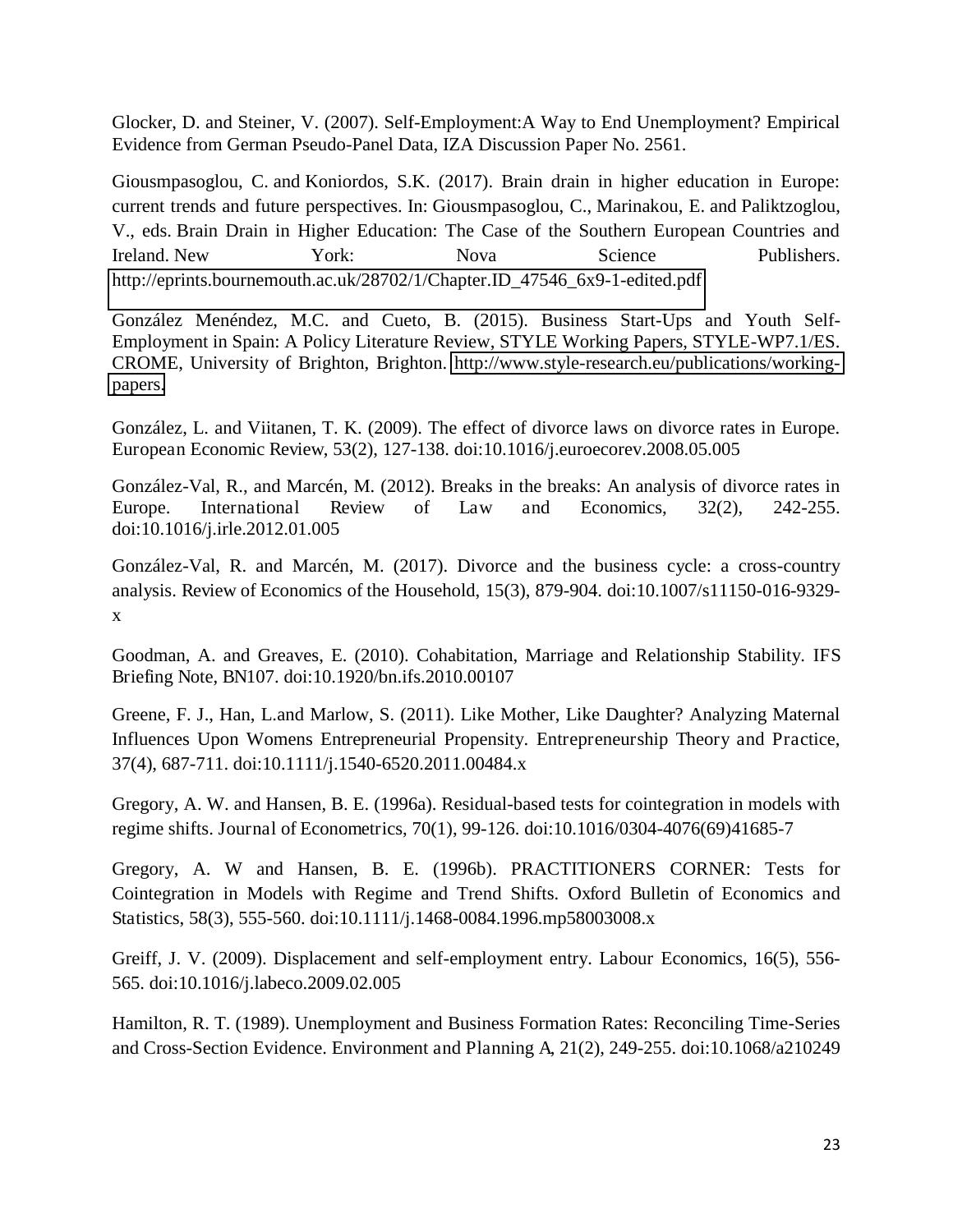Glocker, D. and Steiner, V. (2007). Self-Employment:A Way to End Unemployment? Empirical Evidence from German Pseudo-Panel Data, IZA Discussion Paper No. 2561.

Giousmpasoglou, C. and Koniordos, S.K. (2017). Brain drain in higher education in Europe: current trends and future perspectives. In: Giousmpasoglou, C., Marinakou, E. and Paliktzoglou, V., eds. Brain Drain in Higher Education: The Case of the Southern European Countries and Ireland. New York: Nova Science Publishers. http://eprints.bournemouth.ac.uk/28702/1/Chapter.ID\_47546\_6x9-1-edited.pdf

González Menéndez, M.C. and Cueto, B. (2015). Business Start-Ups and Youth Self-Employment in Spain: A Policy Literature Review, STYLE Working Papers, STYLE-WP7.1/ES. CROME, University of Brighton, Brighton. [http://www.style-research.eu/publications/working](http://www.style-research.eu/publications/working-papers)[papers.](http://www.style-research.eu/publications/working-papers)

González, L. and Viitanen, T. K. (2009). The effect of divorce laws on divorce rates in Europe. European Economic Review, 53(2), 127-138. doi:10.1016/j.euroecorev.2008.05.005

González-Val, R., and Marcén, M. (2012). Breaks in the breaks: An analysis of divorce rates in Europe. International Review of Law and Economics, 32(2), 242-255. doi:10.1016/j.irle.2012.01.005

González-Val, R. and Marcén, M. (2017). Divorce and the business cycle: a cross-country analysis. Review of Economics of the Household, 15(3), 879-904. doi:10.1007/s11150-016-9329 x

Goodman, A. and Greaves, E. (2010). Cohabitation, Marriage and Relationship Stability. IFS Briefing Note, BN107. doi:10.1920/bn.ifs.2010.00107

Greene, F. J., Han, L.and Marlow, S. (2011). Like Mother, Like Daughter? Analyzing Maternal Influences Upon Womens Entrepreneurial Propensity. Entrepreneurship Theory and Practice, 37(4), 687-711. doi:10.1111/j.1540-6520.2011.00484.x

Gregory, A. W. and Hansen, B. E. (1996a). Residual-based tests for cointegration in models with regime shifts. Journal of Econometrics, 70(1), 99-126. doi:10.1016/0304-4076(69)41685-7

Gregory, A. W and Hansen, B. E. (1996b). PRACTITIONERS CORNER: Tests for Cointegration in Models with Regime and Trend Shifts. Oxford Bulletin of Economics and Statistics, 58(3), 555-560. doi:10.1111/j.1468-0084.1996.mp58003008.x

Greiff, J. V. (2009). Displacement and self-employment entry. Labour Economics, 16(5), 556- 565. doi:10.1016/j.labeco.2009.02.005

Hamilton, R. T. (1989). Unemployment and Business Formation Rates: Reconciling Time-Series and Cross-Section Evidence. Environment and Planning A, 21(2), 249-255. doi:10.1068/a210249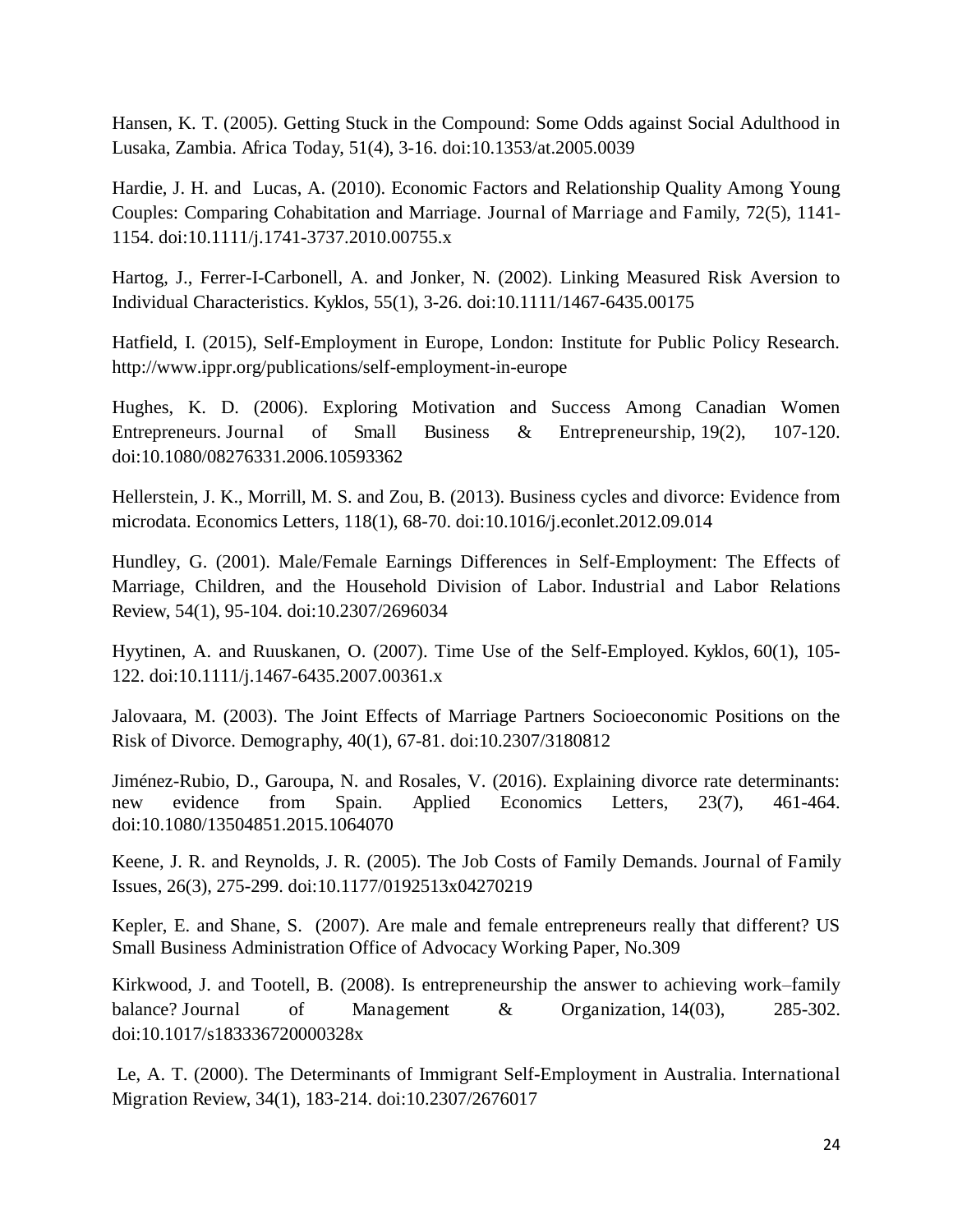Hansen, K. T. (2005). Getting Stuck in the Compound: Some Odds against Social Adulthood in Lusaka, Zambia. Africa Today, 51(4), 3-16. doi:10.1353/at.2005.0039

Hardie, J. H. and Lucas, A. (2010). Economic Factors and Relationship Quality Among Young Couples: Comparing Cohabitation and Marriage. Journal of Marriage and Family, 72(5), 1141- 1154. doi:10.1111/j.1741-3737.2010.00755.x

Hartog, J., Ferrer-I-Carbonell, A. and Jonker, N. (2002). Linking Measured Risk Aversion to Individual Characteristics. Kyklos, 55(1), 3-26. doi:10.1111/1467-6435.00175

Hatfield, I. (2015), Self-Employment in Europe, London: Institute for Public Policy Research. http://www.ippr.org/publications/self-employment-in-europe

Hughes, K. D. (2006). Exploring Motivation and Success Among Canadian Women Entrepreneurs. Journal of Small Business & Entrepreneurship, 19(2), 107-120. doi:10.1080/08276331.2006.10593362

Hellerstein, J. K., Morrill, M. S. and Zou, B. (2013). Business cycles and divorce: Evidence from microdata. Economics Letters, 118(1), 68-70. doi:10.1016/j.econlet.2012.09.014

Hundley, G. (2001). Male/Female Earnings Differences in Self-Employment: The Effects of Marriage, Children, and the Household Division of Labor. Industrial and Labor Relations Review, 54(1), 95-104. doi:10.2307/2696034

Hyytinen, A. and Ruuskanen, O. (2007). Time Use of the Self-Employed. Kyklos, 60(1), 105- 122. doi:10.1111/j.1467-6435.2007.00361.x

Jalovaara, M. (2003). The Joint Effects of Marriage Partners Socioeconomic Positions on the Risk of Divorce. Demography, 40(1), 67-81. doi:10.2307/3180812

Jiménez-Rubio, D., Garoupa, N. and Rosales, V. (2016). Explaining divorce rate determinants: new evidence from Spain. Applied Economics Letters, 23(7), 461-464. doi:10.1080/13504851.2015.1064070

Keene, J. R. and Reynolds, J. R. (2005). The Job Costs of Family Demands. Journal of Family Issues, 26(3), 275-299. doi:10.1177/0192513x04270219

Kepler, E. and Shane, S. (2007). Are male and female entrepreneurs really that different? US Small Business Administration Office of Advocacy Working Paper, No.309

Kirkwood, J. and Tootell, B. (2008). Is entrepreneurship the answer to achieving work–family balance? Journal of Management & Organization, 14(03), 285-302. doi:10.1017/s183336720000328x

 Le, A. T. (2000). The Determinants of Immigrant Self-Employment in Australia. International Migration Review, 34(1), 183-214. doi:10.2307/2676017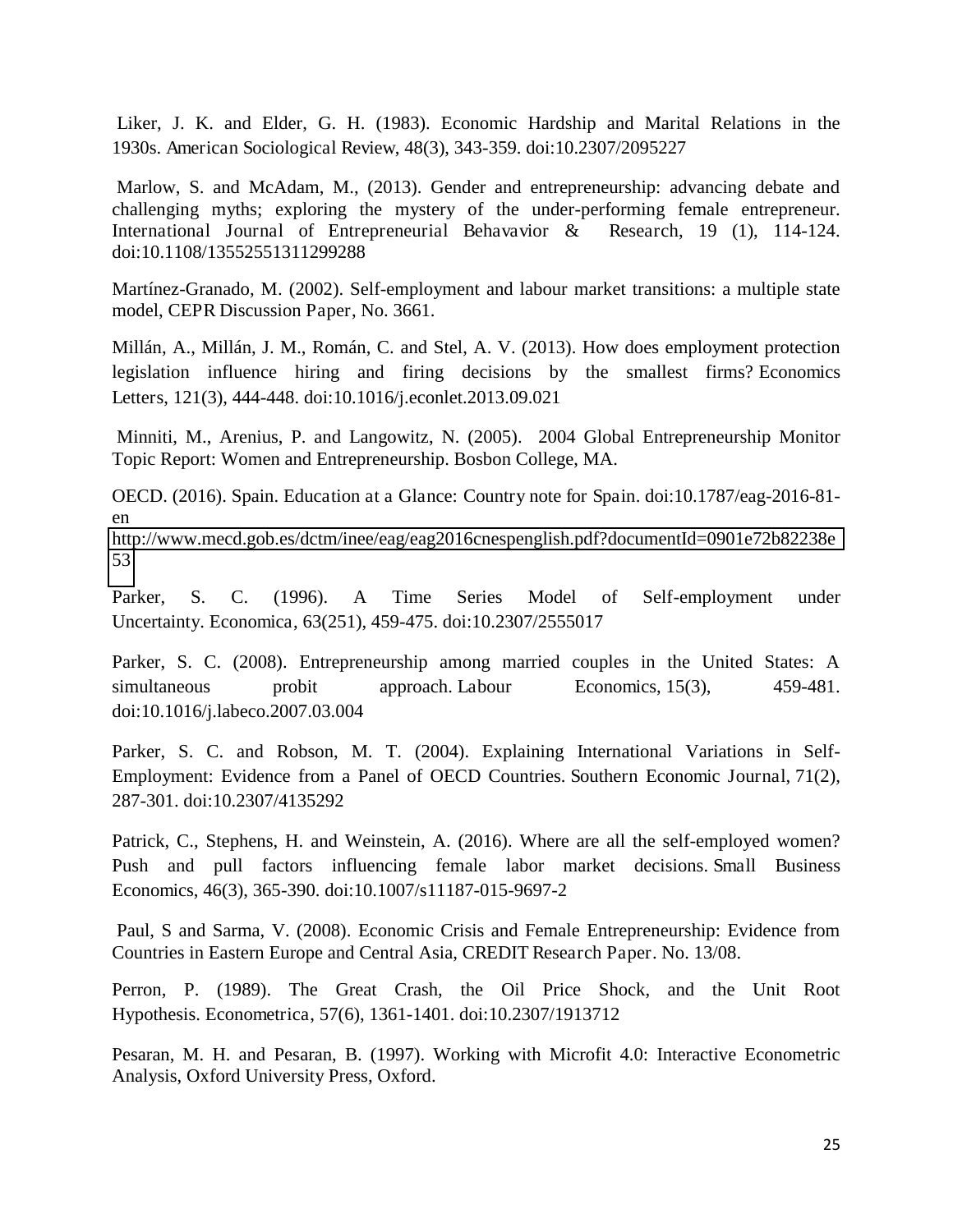Liker, J. K. and Elder, G. H. (1983). Economic Hardship and Marital Relations in the 1930s. American Sociological Review, 48(3), 343-359. doi:10.2307/2095227

 Marlow, S. and McAdam, M., (2013). Gender and entrepreneurship: advancing debate and challenging myths; exploring the mystery of the under-performing female entrepreneur. International Journal of Entrepreneurial Behavavior & Research, 19 (1), 114-124. doi:10.1108/13552551311299288

Martínez-Granado, M. (2002). Self-employment and labour market transitions: a multiple state model, CEPR Discussion Paper, No. 3661.

Millán, A., Millán, J. M., Román, C. and Stel, A. V. (2013). How does employment protection legislation influence hiring and firing decisions by the smallest firms? Economics Letters, 121(3), 444-448. doi:10.1016/j.econlet.2013.09.021

 Minniti, M., Arenius, P. and Langowitz, N. (2005). 2004 Global Entrepreneurship Monitor Topic Report: Women and Entrepreneurship. Bosbon College, MA.

OECD. (2016). Spain. Education at a Glance: Country note for Spain. doi:10.1787/eag-2016-81 en

[http://www.mecd.gob.es/dctm/inee/eag/eag2016cnespenglish.pdf?documentId=0901e72b82238e](http://www.mecd.gob.es/dctm/inee/eag/eag2016cnespenglish.pdf?documentId=0901e72b82238e53) [53](http://www.mecd.gob.es/dctm/inee/eag/eag2016cnespenglish.pdf?documentId=0901e72b82238e53) 

Parker, S. C. (1996). A Time Series Model of Self-employment under Uncertainty. Economica, 63(251), 459-475. doi:10.2307/2555017

Parker, S. C. (2008). Entrepreneurship among married couples in the United States: A simultaneous probit approach. Labour Economics, 15(3), 459-481. doi:10.1016/j.labeco.2007.03.004

Parker, S. C. and Robson, M. T. (2004). Explaining International Variations in Self-Employment: Evidence from a Panel of OECD Countries. Southern Economic Journal, 71(2), 287-301. doi:10.2307/4135292

Patrick, C., Stephens, H. and Weinstein, A. (2016). Where are all the self-employed women? Push and pull factors influencing female labor market decisions. Small Business Economics, 46(3), 365-390. doi:10.1007/s11187-015-9697-2

 Paul, S and Sarma, V. (2008). Economic Crisis and Female Entrepreneurship: Evidence from Countries in Eastern Europe and Central Asia, CREDIT Research Paper. No. 13/08.

Perron, P. (1989). The Great Crash, the Oil Price Shock, and the Unit Root Hypothesis. Econometrica, 57(6), 1361-1401. doi:10.2307/1913712

Pesaran, M. H. and Pesaran, B. (1997). Working with Microfit 4.0: Interactive Econometric Analysis, Oxford University Press, Oxford.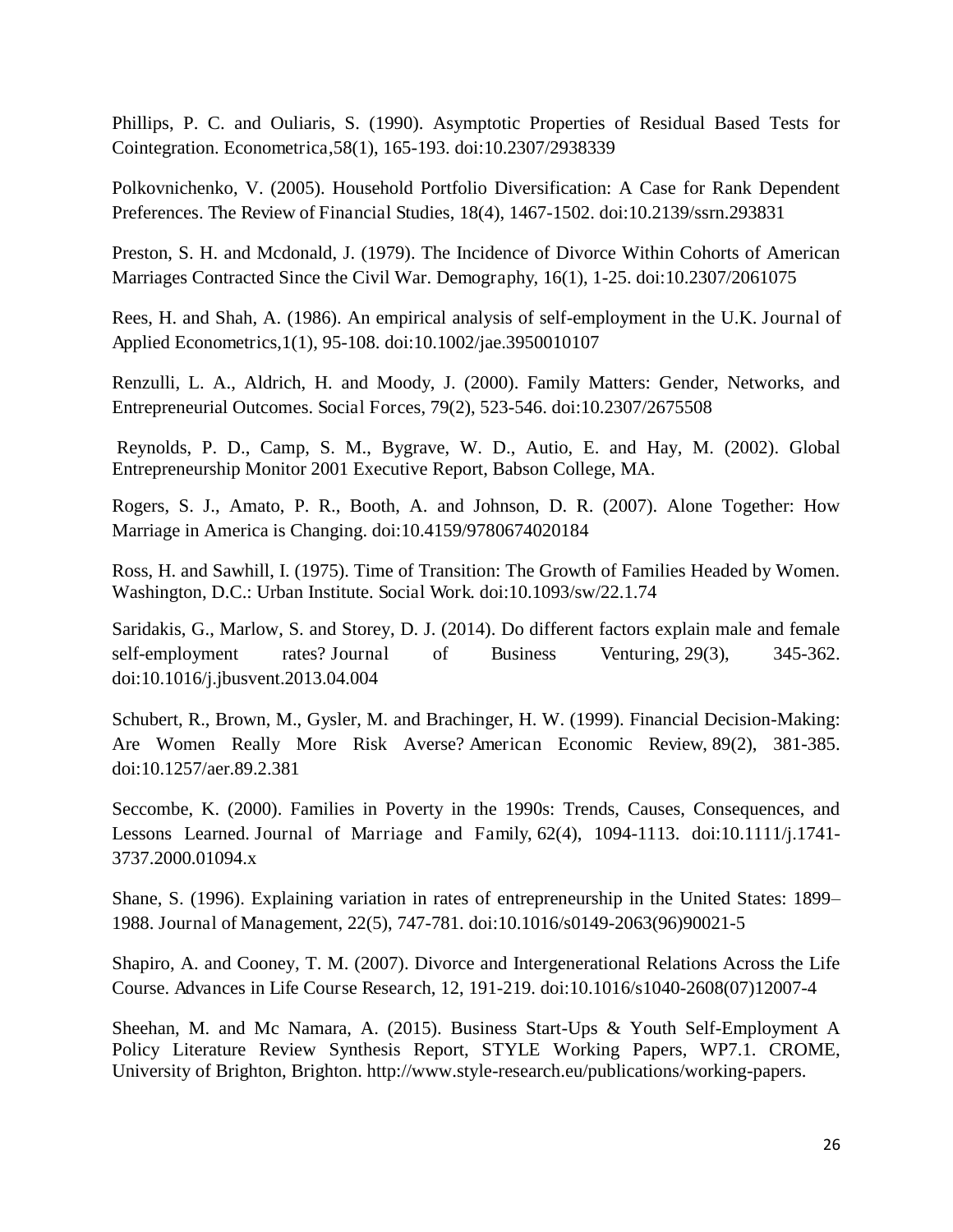Phillips, P. C. and Ouliaris, S. (1990). Asymptotic Properties of Residual Based Tests for Cointegration. Econometrica,58(1), 165-193. doi:10.2307/2938339

Polkovnichenko, V. (2005). Household Portfolio Diversification: A Case for Rank Dependent Preferences. The Review of Financial Studies, 18(4), 1467-1502. doi:10.2139/ssrn.293831

Preston, S. H. and Mcdonald, J. (1979). The Incidence of Divorce Within Cohorts of American Marriages Contracted Since the Civil War. Demography, 16(1), 1-25. doi:10.2307/2061075

Rees, H. and Shah, A. (1986). An empirical analysis of self-employment in the U.K. Journal of Applied Econometrics,1(1), 95-108. doi:10.1002/jae.3950010107

Renzulli, L. A., Aldrich, H. and Moody, J. (2000). Family Matters: Gender, Networks, and Entrepreneurial Outcomes. Social Forces, 79(2), 523-546. doi:10.2307/2675508

 Reynolds, P. D., Camp, S. M., Bygrave, W. D., Autio, E. and Hay, M. (2002). Global Entrepreneurship Monitor 2001 Executive Report, Babson College, MA.

Rogers, S. J., Amato, P. R., Booth, A. and Johnson, D. R. (2007). Alone Together: How Marriage in America is Changing. doi:10.4159/9780674020184

Ross, H. and Sawhill, I. (1975). Time of Transition: The Growth of Families Headed by Women. Washington, D.C.: Urban Institute. Social Work. doi:10.1093/sw/22.1.74

Saridakis, G., Marlow, S. and Storey, D. J. (2014). Do different factors explain male and female self-employment rates? Journal of Business Venturing, 29(3), 345-362. doi:10.1016/j.jbusvent.2013.04.004

Schubert, R., Brown, M., Gysler, M. and Brachinger, H. W. (1999). Financial Decision-Making: Are Women Really More Risk Averse? American Economic Review, 89(2), 381-385. doi:10.1257/aer.89.2.381

Seccombe, K. (2000). Families in Poverty in the 1990s: Trends, Causes, Consequences, and Lessons Learned. Journal of Marriage and Family, 62(4), 1094-1113. doi:10.1111/j.1741- 3737.2000.01094.x

Shane, S. (1996). Explaining variation in rates of entrepreneurship in the United States: 1899– 1988. Journal of Management, 22(5), 747-781. doi:10.1016/s0149-2063(96)90021-5

Shapiro, A. and Cooney, T. M. (2007). Divorce and Intergenerational Relations Across the Life Course. Advances in Life Course Research, 12, 191-219. doi:10.1016/s1040-2608(07)12007-4

Sheehan, M. and Mc Namara, A. (2015). Business Start-Ups & Youth Self-Employment A Policy Literature Review Synthesis Report, STYLE Working Papers, WP7.1. CROME, University of Brighton, Brighton. http://www.style-research.eu/publications/working-papers.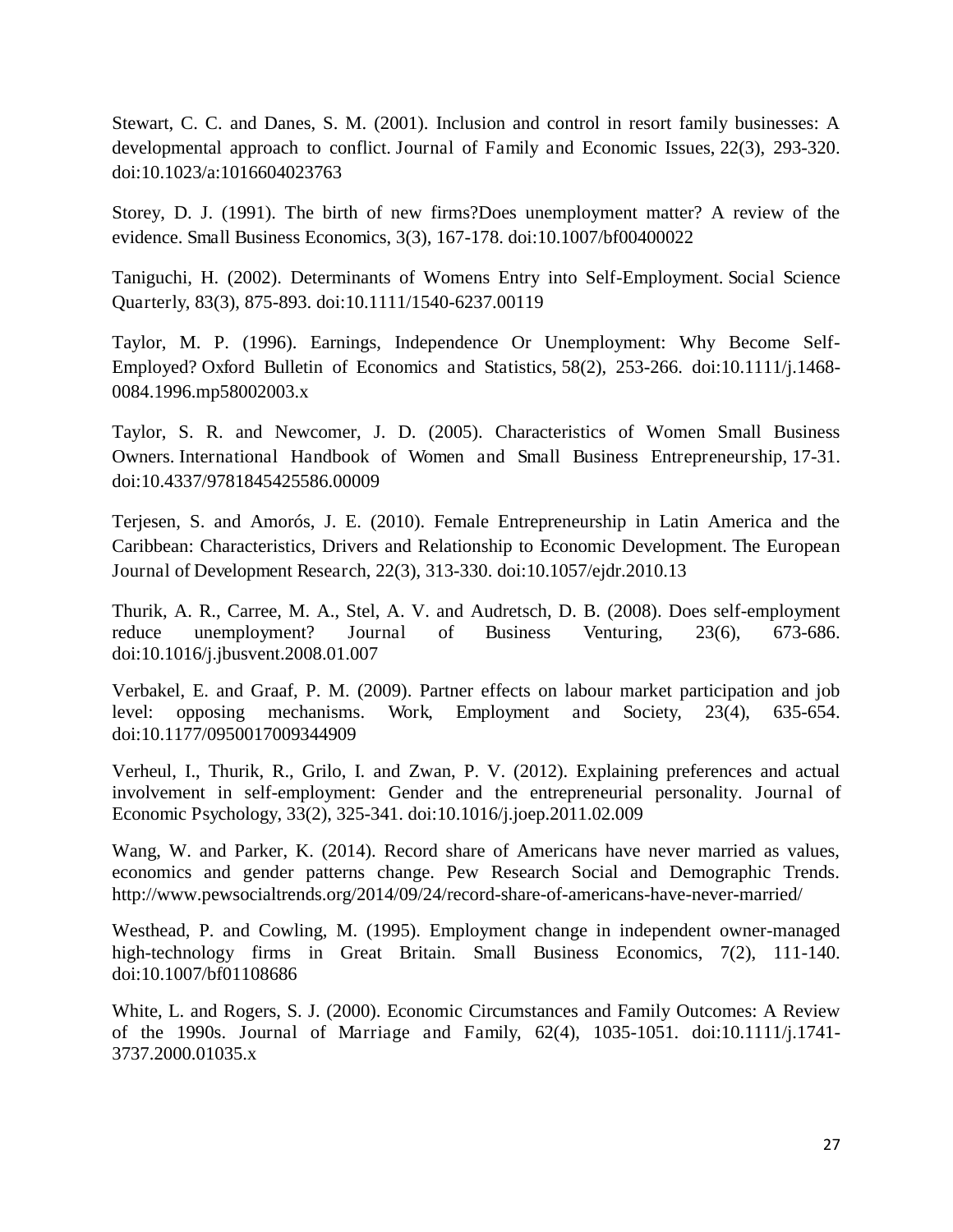Stewart, C. C. and Danes, S. M. (2001). Inclusion and control in resort family businesses: A developmental approach to conflict. Journal of Family and Economic Issues, 22(3), 293-320. doi:10.1023/a:1016604023763

Storey, D. J. (1991). The birth of new firms?Does unemployment matter? A review of the evidence. Small Business Economics, 3(3), 167-178. doi:10.1007/bf00400022

Taniguchi, H. (2002). Determinants of Womens Entry into Self-Employment. Social Science Quarterly, 83(3), 875-893. doi:10.1111/1540-6237.00119

Taylor, M. P. (1996). Earnings, Independence Or Unemployment: Why Become Self-Employed? Oxford Bulletin of Economics and Statistics, 58(2), 253-266. doi:10.1111/j.1468- 0084.1996.mp58002003.x

Taylor, S. R. and Newcomer, J. D. (2005). Characteristics of Women Small Business Owners. International Handbook of Women and Small Business Entrepreneurship, 17-31. doi:10.4337/9781845425586.00009

Terjesen, S. and Amorós, J. E. (2010). Female Entrepreneurship in Latin America and the Caribbean: Characteristics, Drivers and Relationship to Economic Development. The European Journal of Development Research, 22(3), 313-330. doi:10.1057/ejdr.2010.13

Thurik, A. R., Carree, M. A., Stel, A. V. and Audretsch, D. B. (2008). Does self-employment reduce unemployment? Journal of Business Venturing, 23(6), 673-686. doi:10.1016/j.jbusvent.2008.01.007

Verbakel, E. and Graaf, P. M. (2009). Partner effects on labour market participation and job level: opposing mechanisms. Work, Employment and Society, 23(4), 635-654. doi:10.1177/0950017009344909

Verheul, I., Thurik, R., Grilo, I. and Zwan, P. V. (2012). Explaining preferences and actual involvement in self-employment: Gender and the entrepreneurial personality. Journal of Economic Psychology, 33(2), 325-341. doi:10.1016/j.joep.2011.02.009

Wang, W. and Parker, K. (2014). Record share of Americans have never married as values, economics and gender patterns change. Pew Research Social and Demographic Trends. http://www.pewsocialtrends.org/2014/09/24/record-share-of-americans-have-never-married/

Westhead, P. and Cowling, M. (1995). Employment change in independent owner-managed high-technology firms in Great Britain. Small Business Economics, 7(2), 111-140. doi:10.1007/bf01108686

White, L. and Rogers, S. J. (2000). Economic Circumstances and Family Outcomes: A Review of the 1990s. Journal of Marriage and Family, 62(4), 1035-1051. doi:10.1111/j.1741- 3737.2000.01035.x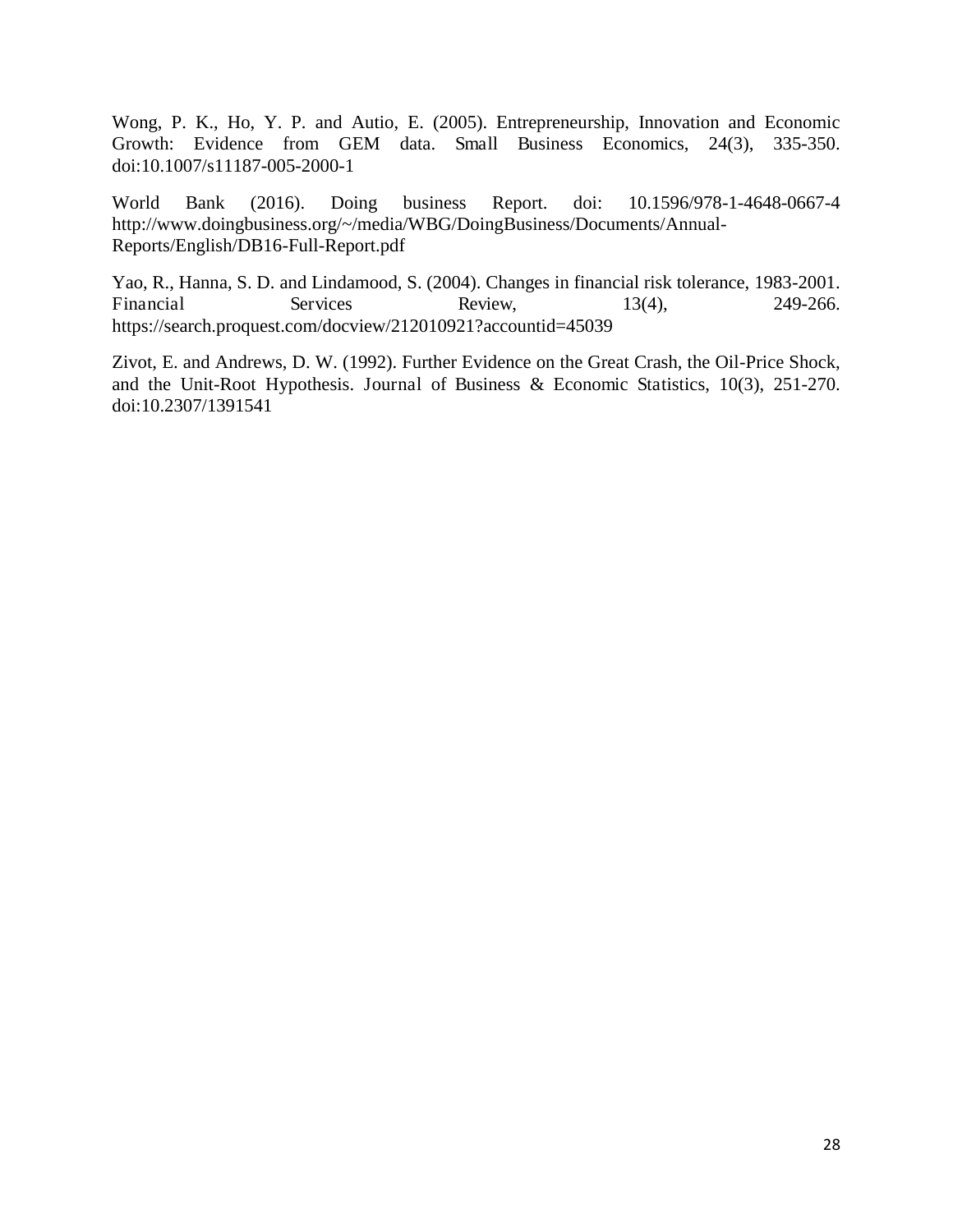Wong, P. K., Ho, Y. P. and Autio, E. (2005). Entrepreneurship, Innovation and Economic Growth: Evidence from GEM data. Small Business Economics, 24(3), 335-350. doi:10.1007/s11187-005-2000-1

World Bank (2016). Doing business Report. doi: 10.1596/978-1-4648-0667-4 http://www.doingbusiness.org/~/media/WBG/DoingBusiness/Documents/Annual-Reports/English/DB16-Full-Report.pdf

Yao, R., Hanna, S. D. and Lindamood, S. (2004). Changes in financial risk tolerance, 1983-2001. Financial Services Review, 13(4), 249-266. https://search.proquest.com/docview/212010921?accountid=45039

Zivot, E. and Andrews, D. W. (1992). Further Evidence on the Great Crash, the Oil-Price Shock, and the Unit-Root Hypothesis. Journal of Business & Economic Statistics, 10(3), 251-270. doi:10.2307/1391541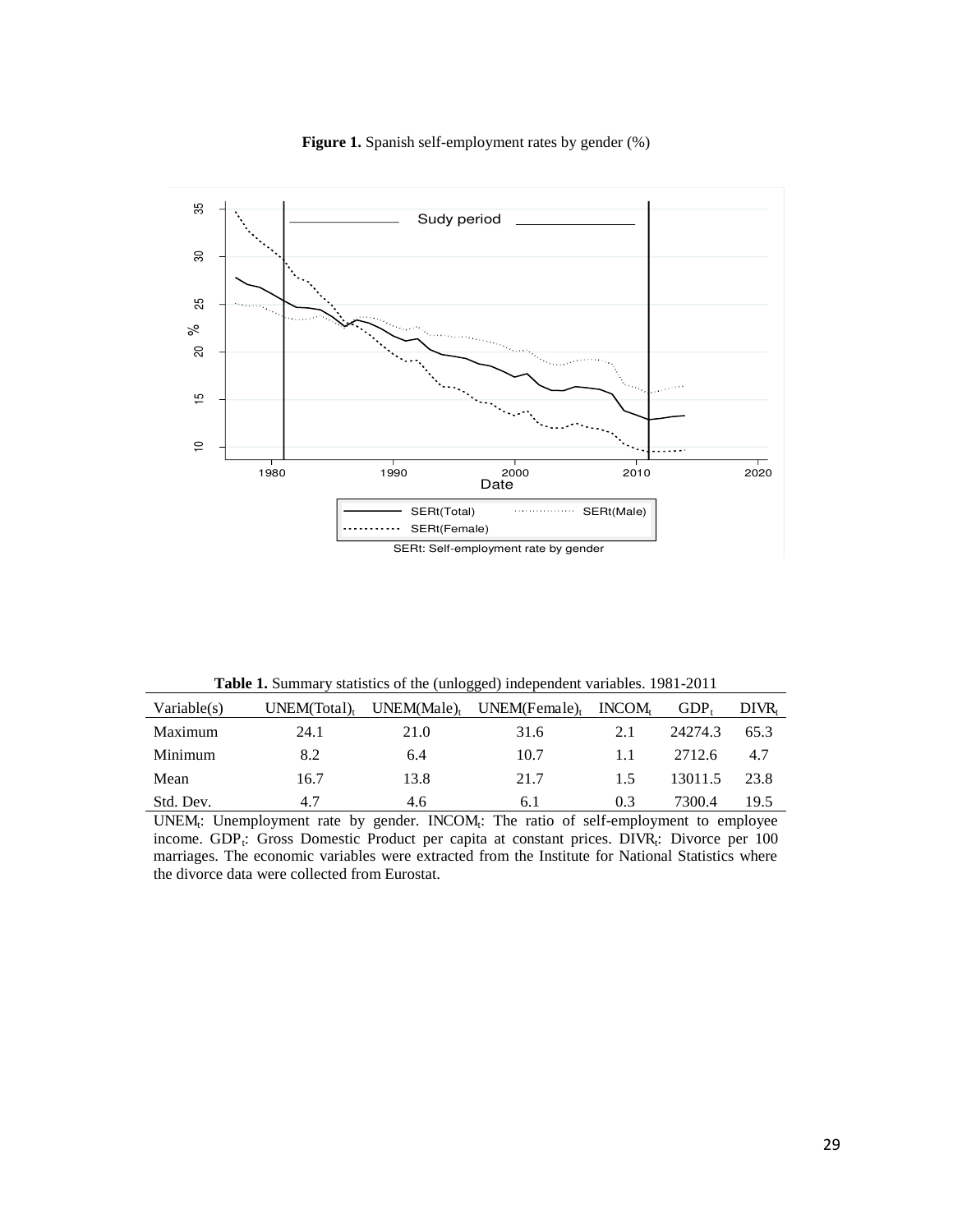



**Table 1.** Summary statistics of the (unlogged) independent variables. 1981-2011

| Variable(s) | UNEM(Total) | UNEM(Male) | UNEM(Female) | INCOM <sub>t</sub> | GDP <sub>t</sub> | DIVR. |
|-------------|-------------|------------|--------------|--------------------|------------------|-------|
| Maximum     | 24.1        | 21.0       | 31.6         | 2.1                | 24274.3          | 65.3  |
| Minimum     | 8.2         | 6.4        | 10.7         |                    | 2712.6           | 4.7   |
| Mean        | 16.7        | 13.8       | 21.7         | 1.5                | 13011.5          | 23.8  |
| Std. Dev.   | 4.7         | 4.6        | 6.1          | 0.3                | 7300.4           | 19.5  |

UNEM<sub>t</sub>: Unemployment rate by gender. INCOM<sub>t</sub>: The ratio of self-employment to employee income. GDP<sub>t</sub>: Gross Domestic Product per capita at constant prices. DIVR<sub>t</sub>: Divorce per 100 marriages. The economic variables were extracted from the Institute for National Statistics where the divorce data were collected from Eurostat.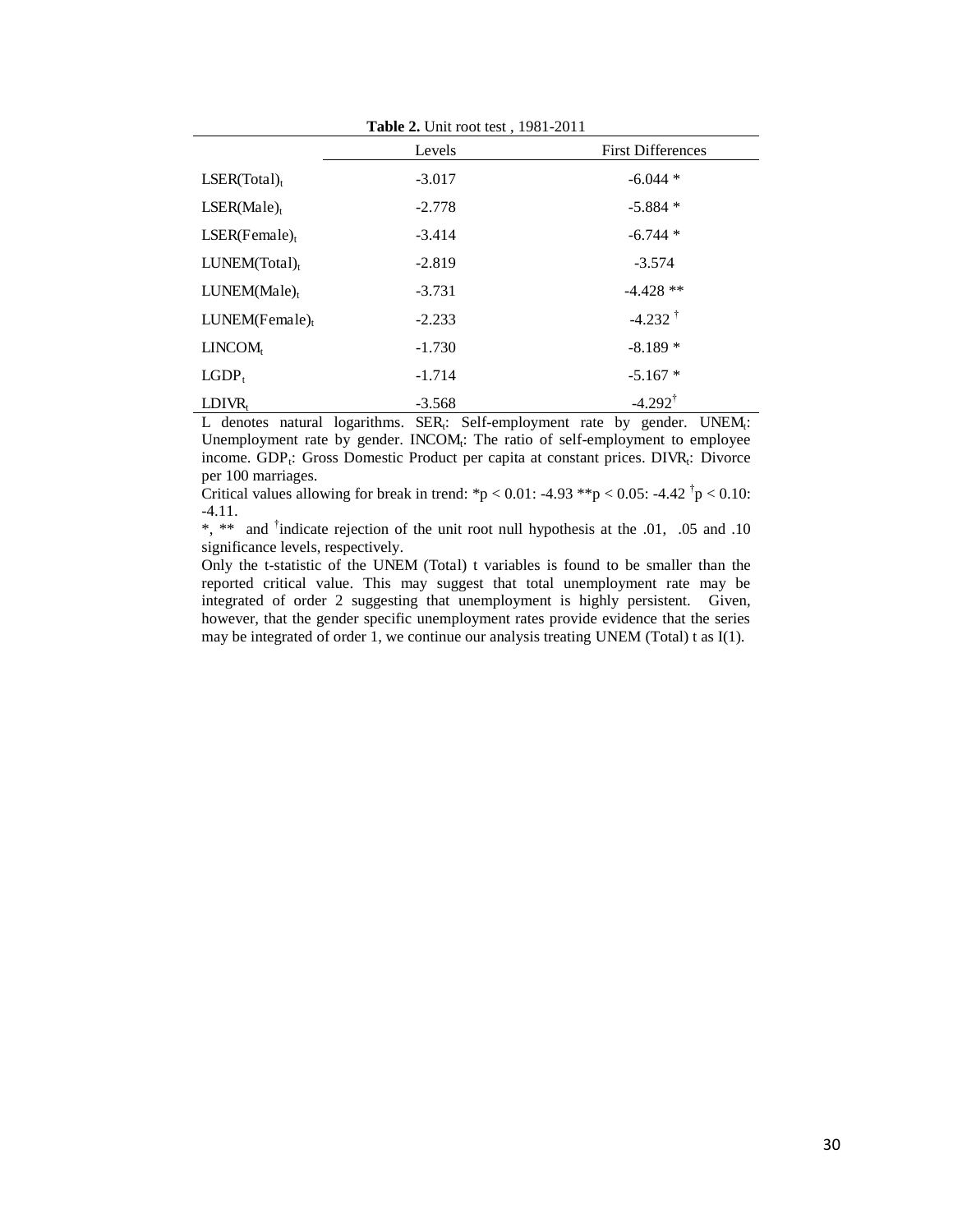|                              | Levels   | <b>First Differences</b> |
|------------------------------|----------|--------------------------|
| LSER(Total) <sub>t</sub>     | $-3.017$ | $-6.044*$                |
| LSER(Male) <sub>t</sub>      | $-2.778$ | $-5.884*$                |
| $LSER(Female)_t$             | $-3.414$ | $-6.744*$                |
| $LUNEM(Total)$ <sub>t</sub>  | $-2.819$ | $-3.574$                 |
| $LUNEM(Male)$ <sub>t</sub>   | $-3.731$ | $-4.428**$               |
| $LUNEM(Female)$ <sub>t</sub> | $-2.233$ | $-4.232$ <sup>†</sup>    |
| LINCOM <sub>t</sub>          | $-1.730$ | $-8.189*$                |
| LGDP <sub>t</sub>            | $-1.714$ | $-5.167*$                |
| $LDIVR_t$                    | $-3.568$ | $-4.292^{\dagger}$       |

L denotes natural logarithms.  $SER_t$ : Self-employment rate by gender. UNEM<sub>t</sub>: Unemployment rate by gender. INCOM<sub>t</sub>: The ratio of self-employment to employee income. GDP<sub>t</sub>: Gross Domestic Product per capita at constant prices. DIVR<sub>t</sub>: Divorce per 100 marriages.

Critical values allowing for break in trend: \*p < 0.01: -4.93 \*\*p < 0.05: -4.42  $\dot{p}$  < 0.10: -4.11.

\*, \*\* and † indicate rejection of the unit root null hypothesis at the .01, .05 and .10 significance levels, respectively.

Only the t-statistic of the UNEM (Total) t variables is found to be smaller than the reported critical value. This may suggest that total unemployment rate may be integrated of order 2 suggesting that unemployment is highly persistent. Given, however, that the gender specific unemployment rates provide evidence that the series may be integrated of order 1, we continue our analysis treating UNEM (Total) t as I(1).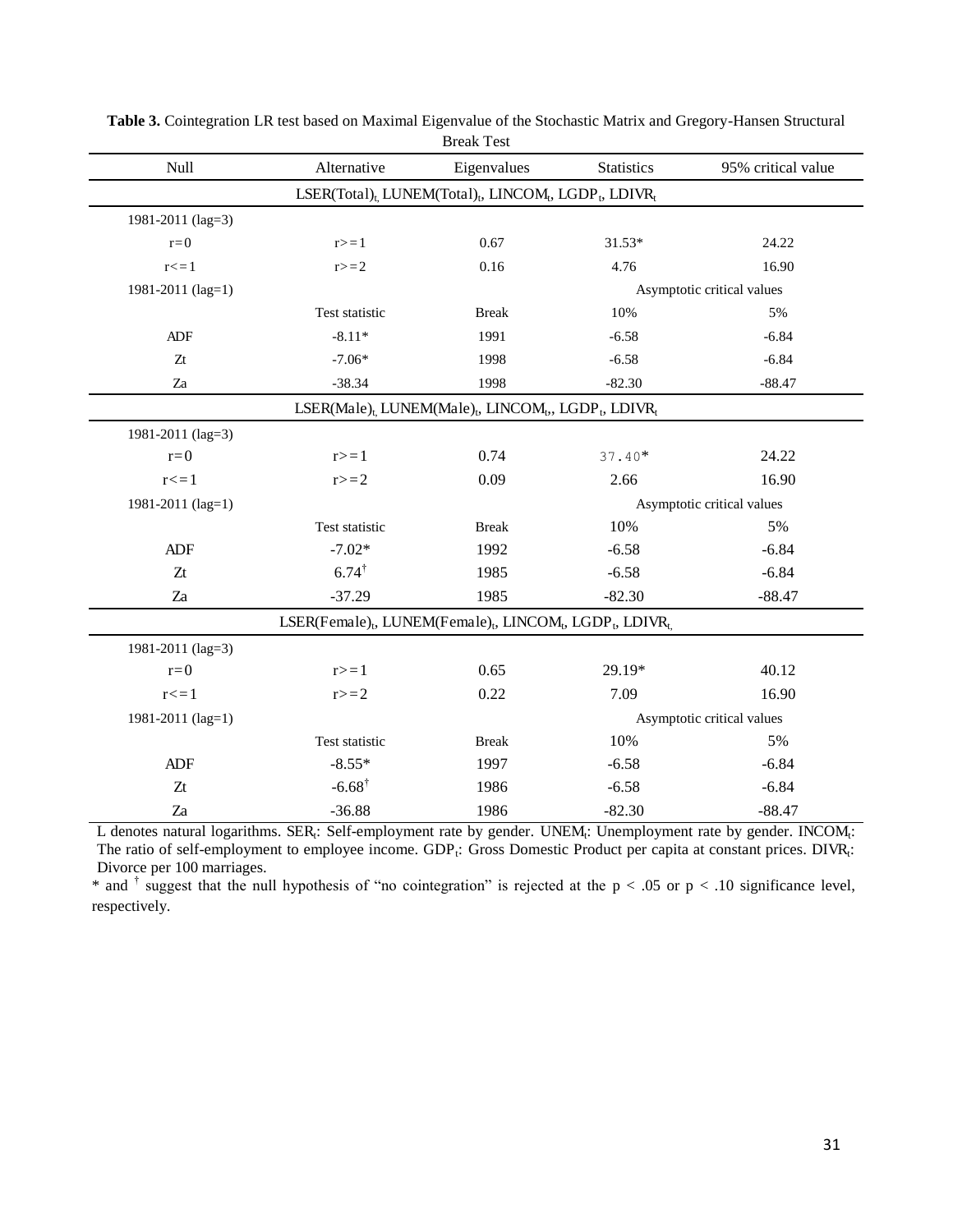|                   |                                                                                                                       | <b>Break lest</b>                                                                                                  |                   |                    |
|-------------------|-----------------------------------------------------------------------------------------------------------------------|--------------------------------------------------------------------------------------------------------------------|-------------------|--------------------|
| Null              | Alternative                                                                                                           | Eigenvalues                                                                                                        | <b>Statistics</b> | 95% critical value |
|                   |                                                                                                                       | LSER(Total) <sub>t.</sub> LUNEM(Total) <sub>t</sub> , LINCOM <sub>t</sub> , LGDP <sub>t</sub> , LDIVR <sub>t</sub> |                   |                    |
| 1981-2011 (lag=3) |                                                                                                                       |                                                                                                                    |                   |                    |
| $r=0$             | $r>=1$                                                                                                                | 0.67                                                                                                               | $31.53*$          | 24.22              |
| $r \leq 1$        | $r>=2$                                                                                                                | 0.16                                                                                                               | 4.76              | 16.90              |
| 1981-2011 (lag=1) |                                                                                                                       | Asymptotic critical values                                                                                         |                   |                    |
|                   | Test statistic                                                                                                        | <b>Break</b>                                                                                                       | 10%               | 5%                 |
| <b>ADF</b>        | $-8.11*$                                                                                                              | 1991                                                                                                               | $-6.58$           | $-6.84$            |
| Zt                | $-7.06*$                                                                                                              | 1998                                                                                                               | $-6.58$           | $-6.84$            |
| Za                | $-38.34$                                                                                                              | 1998                                                                                                               | $-82.30$          | $-88.47$           |
|                   |                                                                                                                       | LSER(Male) <sub>t,</sub> LUNEM(Male) <sub>t</sub> , LINCOM <sub>t</sub> , LGDP <sub>t</sub> , LDIVR <sub>t</sub>   |                   |                    |
| 1981-2011 (lag=3) |                                                                                                                       |                                                                                                                    |                   |                    |
| $r=0$             | $r>=1$                                                                                                                | 0.74                                                                                                               | $37.40*$          | 24.22              |
| $r \leq 1$        | $r>=2$                                                                                                                | 0.09                                                                                                               | 2.66              | 16.90              |
| 1981-2011 (lag=1) | Asymptotic critical values                                                                                            |                                                                                                                    |                   |                    |
|                   | Test statistic                                                                                                        | <b>Break</b>                                                                                                       | 10%               | 5%                 |
| ADF               | $-7.02*$                                                                                                              | 1992                                                                                                               | $-6.58$           | $-6.84$            |
| Zt                | $6.74^{\dagger}$                                                                                                      | 1985                                                                                                               | $-6.58$           | $-6.84$            |
| Za                | $-37.29$                                                                                                              | 1985                                                                                                               | $-82.30$          | $-88.47$           |
|                   | LSER(Female) <sub>t</sub> , LUNEM(Female) <sub>t</sub> , LINCOM <sub>t</sub> , LGDP <sub>t</sub> , LDIVR <sub>t</sub> |                                                                                                                    |                   |                    |
| 1981-2011 (lag=3) |                                                                                                                       |                                                                                                                    |                   |                    |
| $r=0$             | $r>=1$                                                                                                                | 0.65                                                                                                               | 29.19*            | 40.12              |
| $r \leq 1$        | $r>=2$                                                                                                                | 0.22                                                                                                               | 7.09              | 16.90              |
| 1981-2011 (lag=1) | Asymptotic critical values                                                                                            |                                                                                                                    |                   |                    |
|                   | Test statistic                                                                                                        | <b>Break</b>                                                                                                       | 10%               | 5%                 |
| ADF               | $-8.55*$                                                                                                              | 1997                                                                                                               | $-6.58$           | $-6.84$            |
| Zt                | $-6.68$ <sup>†</sup>                                                                                                  | 1986                                                                                                               | $-6.58$           | $-6.84$            |
| Za                | $-36.88$                                                                                                              | 1986                                                                                                               | $-82.30$          | $-88.47$           |

**Table 3.** Cointegration LR test based on Maximal Eigenvalue of the Stochastic Matrix and Gregory-Hansen Structural Break Test

L denotes natural logarithms. SER<sub>t</sub>: Self-employment rate by gender. UNEM<sub>t</sub>: Unemployment rate by gender. INCOM<sub>t</sub>: The ratio of self-employment to employee income.  $GDP_t$ : Gross Domestic Product per capita at constant prices. DIVR<sub>t</sub>: Divorce per 100 marriages.

\* and  $\dagger$  suggest that the null hypothesis of "no cointegration" is rejected at the p < .05 or p < .10 significance level, respectively.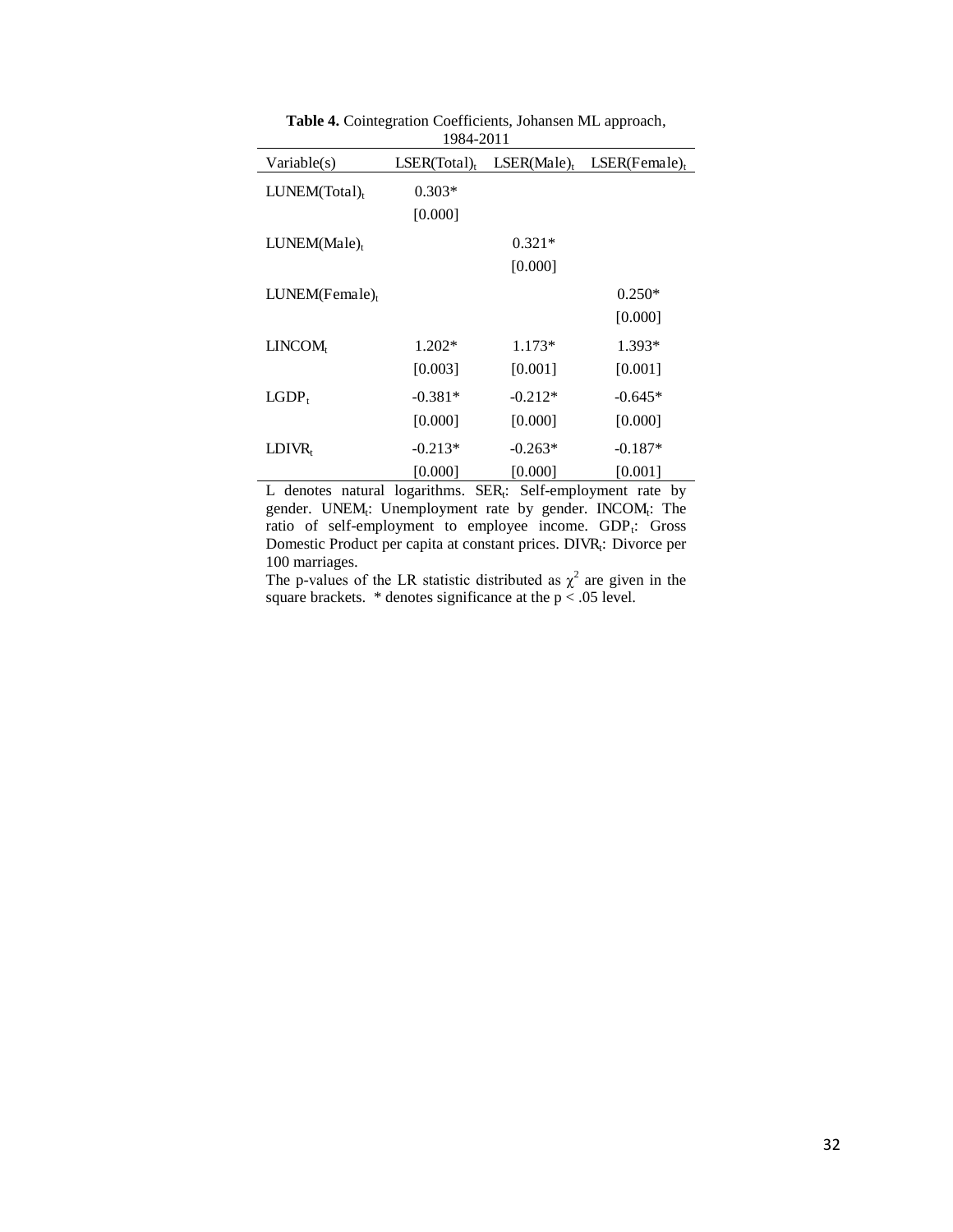| Variable(s)                  | 1707-2011<br>LSER(Total) <sub>t</sub> |                          | $LSER(Male)_t$ $LSER(Female)_t$ |
|------------------------------|---------------------------------------|--------------------------|---------------------------------|
| $LUNEM(Total)$ <sub>t</sub>  | $0.303*$                              |                          |                                 |
|                              | [0.000]                               |                          |                                 |
| $LUNEM(Male)$ <sub>t</sub>   |                                       | $0.321*$                 |                                 |
|                              |                                       | [0.000]                  |                                 |
| $LUNEM(Female)$ <sub>t</sub> |                                       |                          | $0.250*$                        |
|                              |                                       |                          | [0.000]                         |
| LINCOM <sub>t</sub>          | $1.202*$                              | $1.173*$                 | 1.393*                          |
|                              | [0.003]                               | [0.001]                  | [0.001]                         |
| $LGDP_t$                     | $-0.381*$                             | $-0.212*$                | $-0.645*$                       |
|                              | [0.000]                               | [0.000]                  | [0.000]                         |
| $LDIVR_t$                    | $-0.213*$                             | $-0.263*$                | $-0.187*$                       |
| $\mathbf{r}$<br>$\mathbf{r}$ | [0.000]                               | [0.000]<br>$\sim$ $\sim$ | [0.001]                         |

**Table 4.** Cointegration Coefficients, Johansen ML approach, 1984-2011

L denotes natural logarithms.  $SER<sub>t</sub>: Self-emplogment$  rate by gender. UNEM<sub>t</sub>: Unemployment rate by gender. INCOM<sub>t</sub>: The ratio of self-employment to employee income. GDP<sub>t</sub>: Gross Domestic Product per capita at constant prices. DIVR<sub>t</sub>: Divorce per 100 marriages.

The p-values of the LR statistic distributed as  $\chi^2$  are given in the square brackets.  $*$  denotes significance at the  $p < .05$  level.